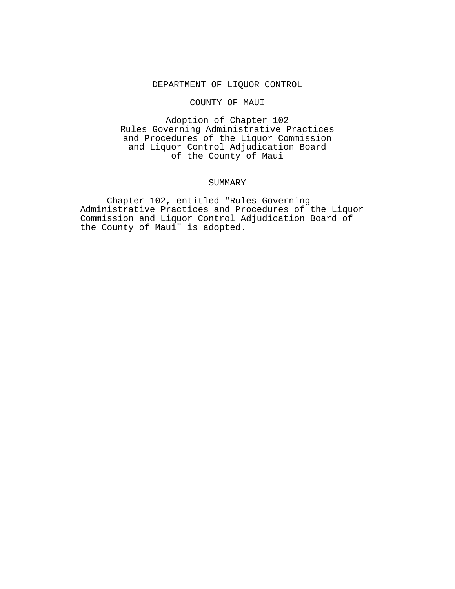#### DEPARTMENT OF LIQUOR CONTROL

### COUNTY OF MAUI

Adoption of Chapter 102 Rules Governing Administrative Practices and Procedures of the Liquor Commission and Liquor Control Adjudication Board of the County of Maui

#### SUMMARY

Chapter 102, entitled "Rules Governing Administrative Practices and Procedures of the Liquor Commission and Liquor Control Adjudication Board of the County of Maui" is adopted.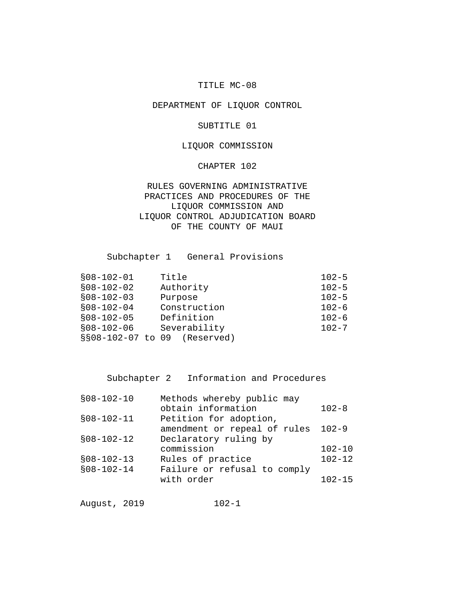# TITLE MC-08

# DEPARTMENT OF LIQUOR CONTROL

#### SUBTITLE 01

# LIQUOR COMMISSION

### CHAPTER 102

RULES GOVERNING ADMINISTRATIVE PRACTICES AND PROCEDURES OF THE LIQUOR COMMISSION AND LIQUOR CONTROL ADJUDICATION BOARD OF THE COUNTY OF MAUI

Subchapter 1 General Provisions

| $$08-102-01$ | Title                        | $102 - 5$ |
|--------------|------------------------------|-----------|
| $$08-102-02$ | Authority                    | $102 - 5$ |
| $$08-102-03$ | Purpose                      | $102 - 5$ |
| $$08-102-04$ | Construction                 | $102 - 6$ |
| $$08-102-05$ | Definition                   | $102 - 6$ |
| $$08-102-06$ | Severability                 | $102 - 7$ |
|              | §§08-102-07 to 09 (Reserved) |           |
|              |                              |           |

Subchapter 2 Information and Procedures

| $$08-102-10$ | Methods whereby public may   |            |
|--------------|------------------------------|------------|
|              | obtain information           | $102 - 8$  |
| $$08-102-11$ | Petition for adoption,       |            |
|              | amendment or repeal of rules | $102 - 9$  |
| $$08-102-12$ | Declaratory ruling by        |            |
|              | commission                   | $102 - 10$ |
| $$08-102-13$ | Rules of practice            | $102 - 12$ |
| $$08-102-14$ | Failure or refusal to comply |            |
|              | with order                   | $102 - 15$ |
|              |                              |            |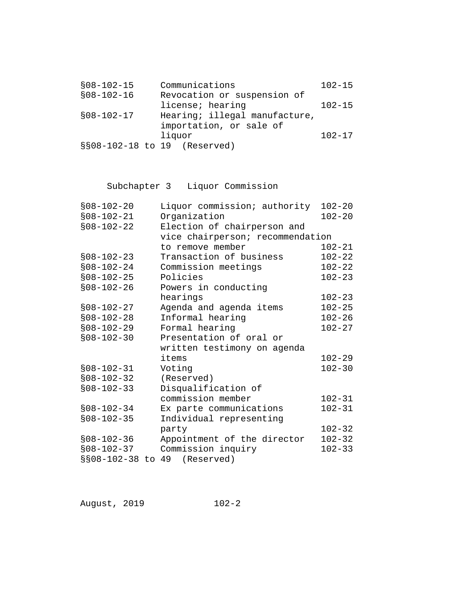| $$08-102-15$                 | Communications                | $102 - 15$ |
|------------------------------|-------------------------------|------------|
| $$08-102-16$                 | Revocation or suspension of   |            |
|                              | license; hearing              | $102 - 15$ |
| $$08-102-17$                 | Hearing; illegal manufacture, |            |
|                              | importation, or sale of       |            |
|                              | liquor                        | $102 - 17$ |
| §§08-102-18 to 19 (Reserved) |                               |            |

# Subchapter 3 Liquor Commission

| $$08-102-20$ | Liquor commission; authority     | $102 - 20$ |
|--------------|----------------------------------|------------|
| $$08-102-21$ | Organization                     | $102 - 20$ |
| $$08-102-22$ | Election of chairperson and      |            |
|              | vice chairperson; recommendation |            |
|              | to remove member                 | $102 - 21$ |
| $$08-102-23$ | Transaction of business          | $102 - 22$ |
| $$08-102-24$ | Commission meetings              | $102 - 22$ |
| $$08-102-25$ | Policies                         | $102 - 23$ |
| $$08-102-26$ | Powers in conducting             |            |
|              | hearings                         | $102 - 23$ |
| $$08-102-27$ | Agenda and agenda items          | $102 - 25$ |
| $$08-102-28$ | Informal hearing                 | $102 - 26$ |
| $$08-102-29$ | Formal hearing                   | $102 - 27$ |
| $$08-102-30$ | Presentation of oral or          |            |
|              | written testimony on agenda      |            |
|              | items                            | $102 - 29$ |
| $$08-102-31$ | Voting                           | $102 - 30$ |
| $$08-102-32$ | (Reserved)                       |            |
| $$08-102-33$ | Disqualification of              |            |
|              | commission member                | $102 - 31$ |
| $$08-102-34$ | Ex parte communications          | $102 - 31$ |
| $$08-102-35$ | Individual representing          |            |
|              | party                            | $102 - 32$ |
| $$08-102-36$ | Appointment of the director      | $102 - 32$ |
| $$08-102-37$ | Commission inquiry               | $102 - 33$ |
|              | §§08-102-38 to 49 (Reserved)     |            |
|              |                                  |            |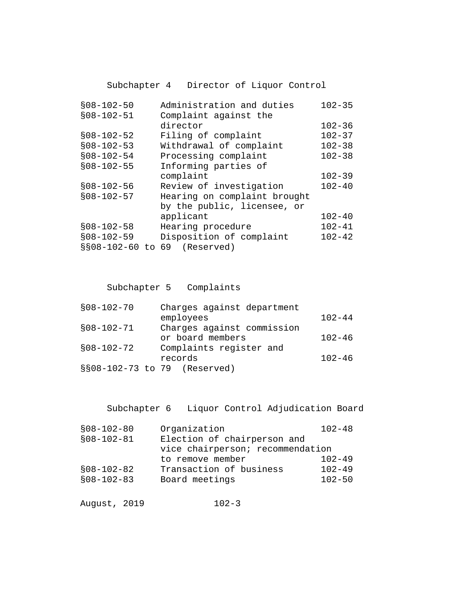Subchapter 4 Director of Liquor Control

| $$08 - 102 - 50$  | Administration and duties    | $102 - 35$ |
|-------------------|------------------------------|------------|
| $$08 - 102 - 51$  | Complaint against the        |            |
|                   | director                     | $102 - 36$ |
| $$08-102-52$      | Filing of complaint          | $102 - 37$ |
| $$08-102-53$      | Withdrawal of complaint      | $102 - 38$ |
| $$08-102-54$      | Processing complaint         | $102 - 38$ |
| $$08-102-55$      | Informing parties of         |            |
|                   | complaint                    | $102 - 39$ |
| $$08-102-56$      | Review of investigation      | $102 - 40$ |
| $$08 - 102 - 57$  | Hearing on complaint brought |            |
|                   | by the public, licensee, or  |            |
|                   | applicant                    | $102 - 40$ |
| $$08-102-58$      | Hearing procedure            | $102 - 41$ |
| $$08-102-59$      | Disposition of complaint     | $102 - 42$ |
| §§08-102-60 to 69 | (Reserved)                   |            |

Subchapter 5 Complaints

| $$08-102-70$                 | Charges against department |            |
|------------------------------|----------------------------|------------|
|                              | employees                  | $102 - 44$ |
| $$08-102-71$                 | Charges against commission |            |
|                              | or board members           | $102 - 46$ |
| $$08-102-72$                 | Complaints register and    |            |
|                              | records                    | $102 - 46$ |
| §§08-102-73 to 79 (Reserved) |                            |            |
|                              |                            |            |

Subchapter 6 Liquor Control Adjudication Board

| Organization                     | $102 - 48$ |
|----------------------------------|------------|
| Election of chairperson and      |            |
| vice chairperson; recommendation |            |
| to remove member                 | $102 - 49$ |
| Transaction of business          | $102 - 49$ |
| Board meetings                   | $102 - 50$ |
|                                  |            |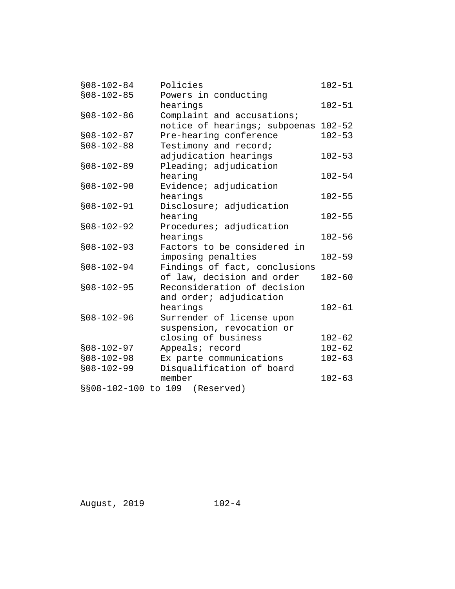| $$08 - 102 - 84$ | Policies                       | $102 - 51$ |
|------------------|--------------------------------|------------|
| $$08-102-85$     | Powers in conducting           |            |
|                  | hearings                       | $102 - 51$ |
| $$08-102-86$     | Complaint and accusations;     |            |
|                  | notice of hearings; subpoenas  | $102 - 52$ |
| $$08-102-87$     | Pre-hearing conference         | $102 - 53$ |
| $$08-102-88$     | Testimony and record;          |            |
|                  | adjudication hearings          | $102 - 53$ |
| $$08-102-89$     | Pleading; adjudication         |            |
|                  | hearing                        | $102 - 54$ |
| $$08-102-90$     | Evidence; adjudication         |            |
|                  | hearings                       | $102 - 55$ |
| $$08-102-91$     | Disclosure; adjudication       |            |
|                  | hearing                        | $102 - 55$ |
| $$08-102-92$     | Procedures; adjudication       |            |
|                  | hearings                       | $102 - 56$ |
| $$08-102-93$     | Factors to be considered in    |            |
|                  | imposing penalties             | $102 - 59$ |
| $$08-102-94$     | Findings of fact, conclusions  |            |
|                  | of law, decision and order     | $102 - 60$ |
| $$08-102-95$     | Reconsideration of decision    |            |
|                  | and order; adjudication        |            |
|                  | hearings                       | $102 - 61$ |
| $$08-102-96$     | Surrender of license upon      |            |
|                  | suspension, revocation or      |            |
|                  | closing of business            | $102 - 62$ |
| $$08-102-97$     | Appeals; record                | $102 - 62$ |
| $$08-102-98$     | Ex parte communications        | $102 - 63$ |
| $$08-102-99$     | Disqualification of board      |            |
|                  | member                         | $102 - 63$ |
|                  | §§08-102-100 to 109 (Reserved) |            |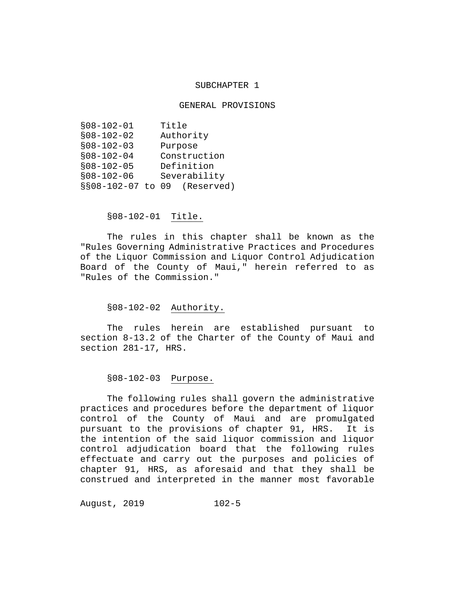#### SUBCHAPTER 1

#### GENERAL PROVISIONS

| Title                           |
|---------------------------------|
| Authority                       |
| Purpose                         |
| Construction                    |
| Definition                      |
| Severability                    |
| §§08-102-07 to<br>09 (Reserved) |
|                                 |

# §08-102-01 Title.

The rules in this chapter shall be known as the "Rules Governing Administrative Practices and Procedures of the Liquor Commission and Liquor Control Adjudication Board of the County of Maui," herein referred to as "Rules of the Commission."

# §08-102-02 Authority.

The rules herein are established pursuant to section 8-13.2 of the Charter of the County of Maui and section 281-17, HRS.

# §08-102-03 Purpose.

The following rules shall govern the administrative practices and procedures before the department of liquor control of the County of Maui and are promulgated<br>pursuant to the provisions of chapter 91, HRS. It is pursuant to the provisions of chapter 91, HRS. the intention of the said liquor commission and liquor control adjudication board that the following rules effectuate and carry out the purposes and policies of chapter 91, HRS, as aforesaid and that they shall be construed and interpreted in the manner most favorable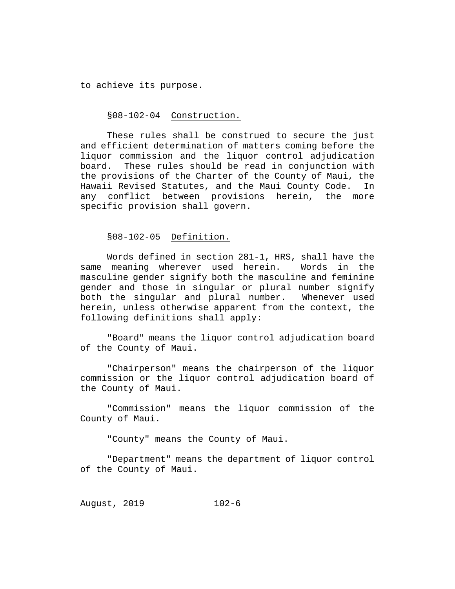to achieve its purpose.

#### §08-102-04 Construction.

These rules shall be construed to secure the just and efficient determination of matters coming before the liquor commission and the liquor control adjudication board. These rules should be read in conjunction with the provisions of the Charter of the County of Maui, the Hawaii Revised Statutes, and the Maui County Code. In any conflict between provisions herein, specific provision shall govern.

# §08-102-05 Definition.

Words defined in section 281-1, HRS, shall have the<br>meaning wherever used herein. Words in the same meaning wherever used herein. masculine gender signify both the masculine and feminine gender and those in singular or plural number signify<br>both the singular and plural number. Whenever used both the singular and plural number. herein, unless otherwise apparent from the context, the following definitions shall apply:

"Board" means the liquor control adjudication board of the County of Maui.

"Chairperson" means the chairperson of the liquor commission or the liquor control adjudication board of the County of Maui.

"Commission" means the liquor commission of the County of Maui.

"County" means the County of Maui.

"Department" means the department of liquor control of the County of Maui.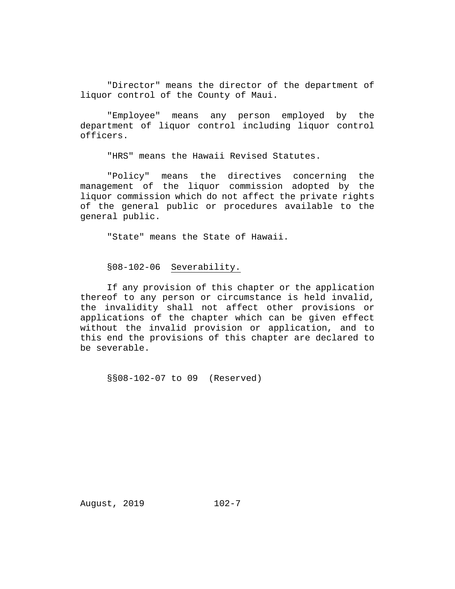"Director" means the director of the department of liquor control of the County of Maui.

"Employee" means any person employed by the department of liquor control including liquor control officers.

"HRS" means the Hawaii Revised Statutes.

"Policy" means the directives concerning the management of the liquor commission adopted by the liquor commission which do not affect the private rights of the general public or procedures available to the general public.

"State" means the State of Hawaii.

§08-102-06 Severability.

If any provision of this chapter or the application thereof to any person or circumstance is held invalid, the invalidity shall not affect other provisions or applications of the chapter which can be given effect without the invalid provision or application, and to this end the provisions of this chapter are declared to be severable.

§§08-102-07 to 09 (Reserved)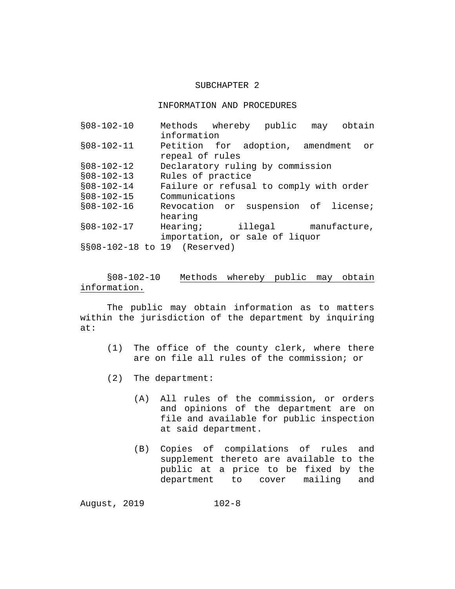### SUBCHAPTER 2

#### INFORMATION AND PROCEDURES

| $$08-102-10$                   | Methods whereby public may              |                                |  | obtain |
|--------------------------------|-----------------------------------------|--------------------------------|--|--------|
|                                | information                             |                                |  |        |
| $$08-102-11$                   | Petition for adoption, amendment        |                                |  | or     |
|                                | repeal of rules                         |                                |  |        |
| $$08-102-12$                   | Declaratory ruling by commission        |                                |  |        |
| $$08-102-13$                   | Rules of practice                       |                                |  |        |
| $$08-102-14$                   | Failure or refusal to comply with order |                                |  |        |
| $$08-102-15$                   | Communications                          |                                |  |        |
| $$08-102-16$                   | Revocation or suspension of license;    |                                |  |        |
|                                | hearing                                 |                                |  |        |
| $$08-102-17$                   | Hearing; illegal manufacture,           |                                |  |        |
|                                |                                         | importation, or sale of liquor |  |        |
| $$808-102-18$ to 19 (Reserved) |                                         |                                |  |        |

§08-102-10 Methods whereby public may obtain information.

The public may obtain information as to matters within the jurisdiction of the department by inquiring at:

- (1) The office of the county clerk, where there are on file all rules of the commission; or
- (2) The department:
	- (A) All rules of the commission, or orders and opinions of the department are on file and available for public inspection at said department.
	- (B) Copies of compilations of rules and supplement thereto are available to the public at a price to be fixed by the department to cover mailing and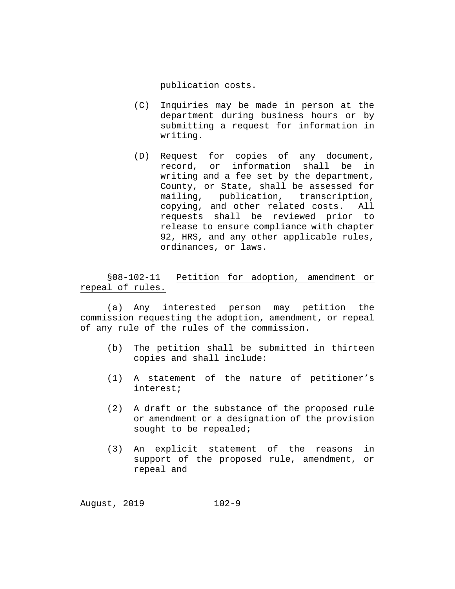publication costs.

- (C) Inquiries may be made in person at the department during business hours or by submitting a request for information in writing.
- (D) Request for copies of any document,<br>record, or information shall be in record, or information shall be writing and a fee set by the department, County, or State, shall be assessed for mailing, publication, transcription, copying, and other related costs. All requests shall be reviewed prior to release to ensure compliance with chapter 92, HRS, and any other applicable rules, ordinances, or laws.

§08-102-11 Petition for adoption, amendment or repeal of rules.

(a) Any interested person may petition the commission requesting the adoption, amendment, or repeal of any rule of the rules of the commission.

- (b) The petition shall be submitted in thirteen copies and shall include:
- (1) A statement of the nature of petitioner's interest;
- (2) A draft or the substance of the proposed rule or amendment or a designation of the provision sought to be repealed;
- (3) An explicit statement of the reasons in support of the proposed rule, amendment, or repeal and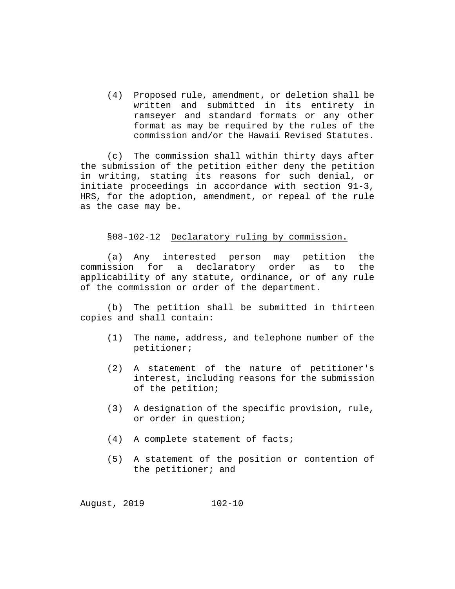(4) Proposed rule, amendment, or deletion shall be written and submitted in its entirety in ramseyer and standard formats or any other format as may be required by the rules of the commission and/or the Hawaii Revised Statutes.

(c) The commission shall within thirty days after the submission of the petition either deny the petition in writing, stating its reasons for such denial, or initiate proceedings in accordance with section 91-3, HRS, for the adoption, amendment, or repeal of the rule as the case may be.

# §08-102-12 Declaratory ruling by commission.

(a) Any interested person may petition the<br>commission for a declaratory order as to the a declaratory order as to the applicability of any statute, ordinance, or of any rule of the commission or order of the department.

(b) The petition shall be submitted in thirteen copies and shall contain:

- (1) The name, address, and telephone number of the petitioner;
- (2) A statement of the nature of petitioner's interest, including reasons for the submission of the petition;
- (3) A designation of the specific provision, rule, or order in question;
- (4) A complete statement of facts;
- (5) A statement of the position or contention of the petitioner; and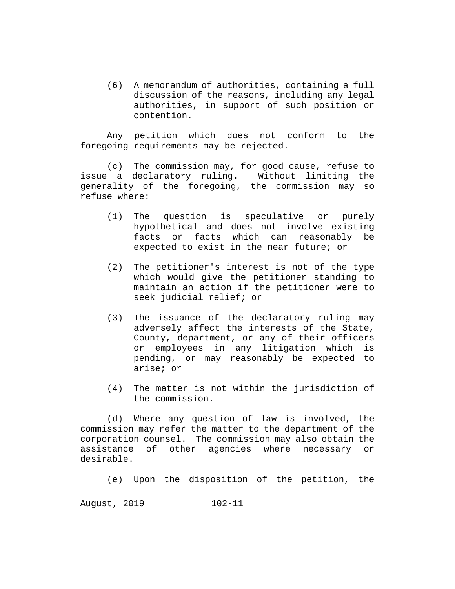(6) A memorandum of authorities, containing a full discussion of the reasons, including any legal authorities, in support of such position or contention.

Any petition which does not conform to the foregoing requirements may be rejected.

(c) The commission may, for good cause, refuse to issue a declaratory ruling. Without limiting the generality of the foregoing, the commission may so refuse where:

- (1) The question is speculative or purely hypothetical and does not involve existing facts or facts which can reasonably be expected to exist in the near future; or
- (2) The petitioner's interest is not of the type which would give the petitioner standing to maintain an action if the petitioner were to seek judicial relief; or
- (3) The issuance of the declaratory ruling may adversely affect the interests of the State, County, department, or any of their officers or employees in any litigation which is pending, or may reasonably be expected to arise; or
- (4) The matter is not within the jurisdiction of the commission.

(d) Where any question of law is involved, the commission may refer the matter to the department of the corporation counsel. The commission may also obtain the assistance of other agencies where necessary or desirable.

(e) Upon the disposition of the petition, the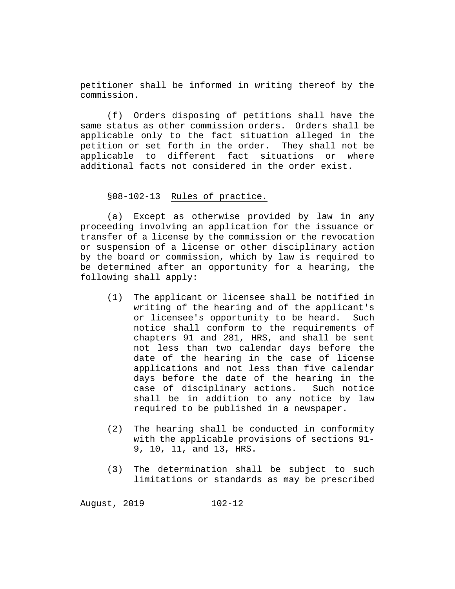petitioner shall be informed in writing thereof by the commission.

(f) Orders disposing of petitions shall have the same status as other commission orders. Orders shall be applicable only to the fact situation alleged in the petition or set forth in the order. They shall not be applicable to different fact situations or where additional facts not considered in the order exist.

### §08-102-13 Rules of practice.

(a) Except as otherwise provided by law in any proceeding involving an application for the issuance or transfer of a license by the commission or the revocation or suspension of a license or other disciplinary action by the board or commission, which by law is required to be determined after an opportunity for a hearing, the following shall apply:

- (1) The applicant or licensee shall be notified in writing of the hearing and of the applicant's or licensee's opportunity to be heard. Such notice shall conform to the requirements of chapters 91 and 281, HRS, and shall be sent not less than two calendar days before the date of the hearing in the case of license applications and not less than five calendar days before the date of the hearing in the case of disciplinary actions. Such notice shall be in addition to any notice by law required to be published in a newspaper.
- (2) The hearing shall be conducted in conformity with the applicable provisions of sections 91- 9, 10, 11, and 13, HRS.
- (3) The determination shall be subject to such limitations or standards as may be prescribed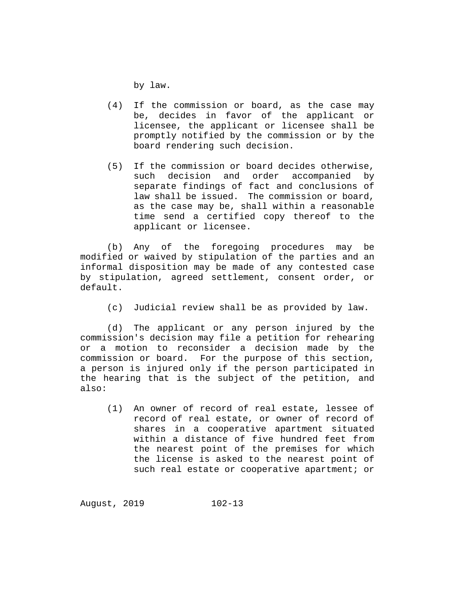by law.

- (4) If the commission or board, as the case may be, decides in favor of the applicant or licensee, the applicant or licensee shall be promptly notified by the commission or by the board rendering such decision.
- (5) If the commission or board decides otherwise, such decision and order accompanied by separate findings of fact and conclusions of law shall be issued. The commission or board, as the case may be, shall within a reasonable time send a certified copy thereof to the applicant or licensee.

(b) Any of the foregoing procedures may be modified or waived by stipulation of the parties and an informal disposition may be made of any contested case by stipulation, agreed settlement, consent order, or default.

(c) Judicial review shall be as provided by law.

(d) The applicant or any person injured by the commission's decision may file a petition for rehearing or a motion to reconsider a decision made by the commission or board. For the purpose of this section, a person is injured only if the person participated in the hearing that is the subject of the petition, and also:

(1) An owner of record of real estate, lessee of record of real estate, or owner of record of shares in a cooperative apartment situated within a distance of five hundred feet from the nearest point of the premises for which the license is asked to the nearest point of such real estate or cooperative apartment; or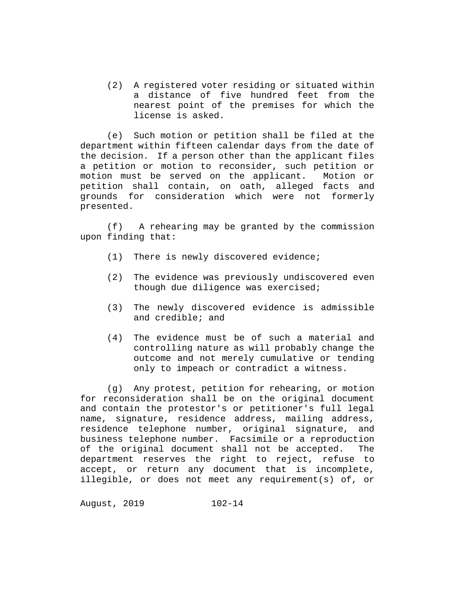(2) A registered voter residing or situated within a distance of five hundred feet from the nearest point of the premises for which the license is asked.

(e) Such motion or petition shall be filed at the department within fifteen calendar days from the date of the decision. If a person other than the applicant files a petition or motion to reconsider, such petition or<br>motion must be served on the applicant. Motion or motion must be served on the applicant. petition shall contain, on oath, alleged facts and grounds for consideration which were not formerly presented.

(f) A rehearing may be granted by the commission upon finding that:

- (1) There is newly discovered evidence;
- (2) The evidence was previously undiscovered even though due diligence was exercised;
- (3) The newly discovered evidence is admissible and credible; and
- (4) The evidence must be of such a material and controlling nature as will probably change the outcome and not merely cumulative or tending only to impeach or contradict a witness.

(g) Any protest, petition for rehearing, or motion for reconsideration shall be on the original document and contain the protestor's or petitioner's full legal name, signature, residence address, mailing address, residence telephone number, original signature, and business telephone number. Facsimile or a reproduction<br>of the original document shall not be accepted. The of the original document shall not be accepted. department reserves the right to reject, refuse to accept, or return any document that is incomplete, illegible, or does not meet any requirement(s) of, or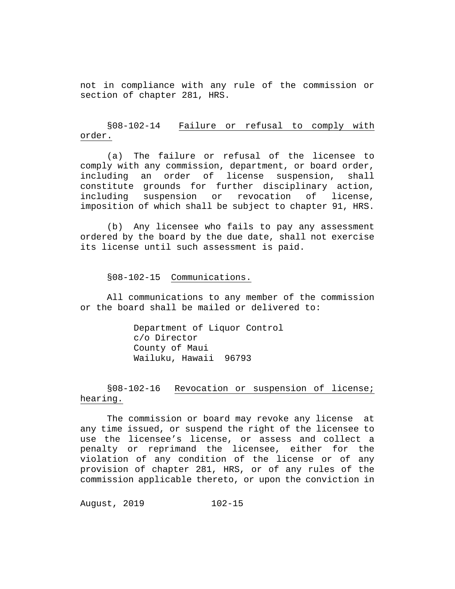not in compliance with any rule of the commission or section of chapter 281, HRS.

# §08-102-14 Failure or refusal to comply with order.

(a) The failure or refusal of the licensee to comply with any commission, department, or board order,<br>including an order of license suspension, shall including an order of license suspension, constitute grounds for further disciplinary action,<br>including suspension or revocation of license, suspension imposition of which shall be subject to chapter 91, HRS.

(b) Any licensee who fails to pay any assessment ordered by the board by the due date, shall not exercise its license until such assessment is paid.

§08-102-15 Communications.

All communications to any member of the commission or the board shall be mailed or delivered to:

> Department of Liquor Control c/o Director County of Maui Wailuku, Hawaii 96793

§08-102-16 Revocation or suspension of license; hearing.

The commission or board may revoke any license at any time issued, or suspend the right of the licensee to use the licensee's license, or assess and collect a penalty or reprimand the licensee, either for the violation of any condition of the license or of any provision of chapter 281, HRS, or of any rules of the commission applicable thereto, or upon the conviction in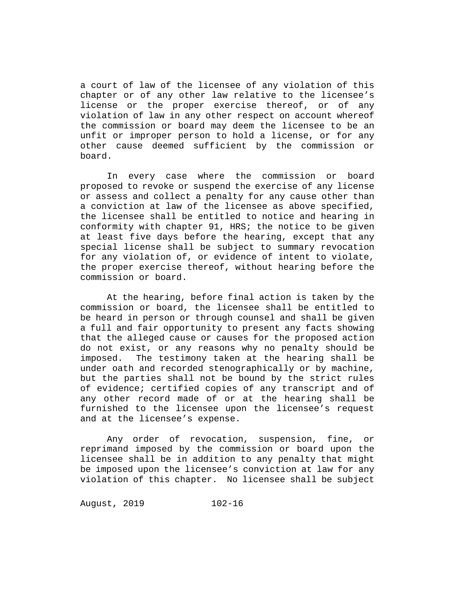a court of law of the licensee of any violation of this chapter or of any other law relative to the licensee's license or the proper exercise thereof, or of any violation of law in any other respect on account whereof the commission or board may deem the licensee to be an unfit or improper person to hold a license, or for any other cause deemed sufficient by the commission or board.

In every case where the commission or board proposed to revoke or suspend the exercise of any license or assess and collect a penalty for any cause other than a conviction at law of the licensee as above specified, the licensee shall be entitled to notice and hearing in conformity with chapter 91, HRS; the notice to be given at least five days before the hearing, except that any special license shall be subject to summary revocation for any violation of, or evidence of intent to violate, the proper exercise thereof, without hearing before the commission or board.

At the hearing, before final action is taken by the commission or board, the licensee shall be entitled to be heard in person or through counsel and shall be given a full and fair opportunity to present any facts showing that the alleged cause or causes for the proposed action do not exist, or any reasons why no penalty should be imposed. The testimony taken at the hearing shall be under oath and recorded stenographically or by machine, but the parties shall not be bound by the strict rules of evidence; certified copies of any transcript and of any other record made of or at the hearing shall be furnished to the licensee upon the licensee's request and at the licensee's expense.

Any order of revocation, suspension, fine, or reprimand imposed by the commission or board upon the licensee shall be in addition to any penalty that might be imposed upon the licensee's conviction at law for any violation of this chapter. No licensee shall be subject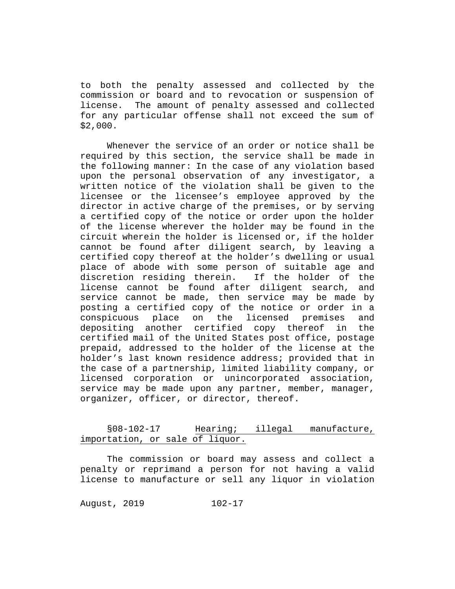to both the penalty assessed and collected by the commission or board and to revocation or suspension of The amount of penalty assessed and collected for any particular offense shall not exceed the sum of \$2,000.

Whenever the service of an order or notice shall be required by this section, the service shall be made in the following manner: In the case of any violation based upon the personal observation of any investigator, a written notice of the violation shall be given to the licensee or the licensee's employee approved by the director in active charge of the premises, or by serving a certified copy of the notice or order upon the holder of the license wherever the holder may be found in the circuit wherein the holder is licensed or, if the holder cannot be found after diligent search, by leaving a certified copy thereof at the holder's dwelling or usual place of abode with some person of suitable age and<br>discretion residing therein. If the holder of the discretion residing therein. If the holder of the<br>license cannot be found after diligent search, and license cannot be found after diligent search, service cannot be made, then service may be made by posting a certified copy of the notice or order in a conspicuous place on the licensed premises and depositing another certified copy thereof in the certified mail of the United States post office, postage prepaid, addressed to the holder of the license at the holder's last known residence address; provided that in the case of a partnership, limited liability company, or licensed corporation or unincorporated association, service may be made upon any partner, member, manager, organizer, officer, or director, thereof.

# §08-102-17 Hearing; illegal manufacture, importation, or sale of liquor.

The commission or board may assess and collect a penalty or reprimand a person for not having a valid license to manufacture or sell any liquor in violation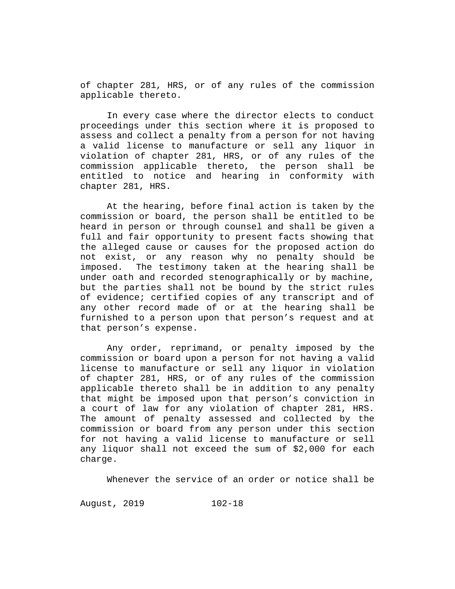of chapter 281, HRS, or of any rules of the commission applicable thereto.

In every case where the director elects to conduct proceedings under this section where it is proposed to assess and collect a penalty from a person for not having a valid license to manufacture or sell any liquor in violation of chapter 281, HRS, or of any rules of the commission applicable thereto, the person shall be entitled to notice and hearing in conformity with chapter 281, HRS.

At the hearing, before final action is taken by the commission or board, the person shall be entitled to be heard in person or through counsel and shall be given a full and fair opportunity to present facts showing that the alleged cause or causes for the proposed action do not exist, or any reason why no penalty should be imposed. The testimony taken at the hearing shall be under oath and recorded stenographically or by machine, but the parties shall not be bound by the strict rules of evidence; certified copies of any transcript and of any other record made of or at the hearing shall be furnished to a person upon that person's request and at that person's expense.

Any order, reprimand, or penalty imposed by the commission or board upon a person for not having a valid license to manufacture or sell any liquor in violation of chapter 281, HRS, or of any rules of the commission applicable thereto shall be in addition to any penalty that might be imposed upon that person's conviction in a court of law for any violation of chapter 281, HRS. The amount of penalty assessed and collected by the commission or board from any person under this section for not having a valid license to manufacture or sell any liquor shall not exceed the sum of \$2,000 for each charge.

Whenever the service of an order or notice shall be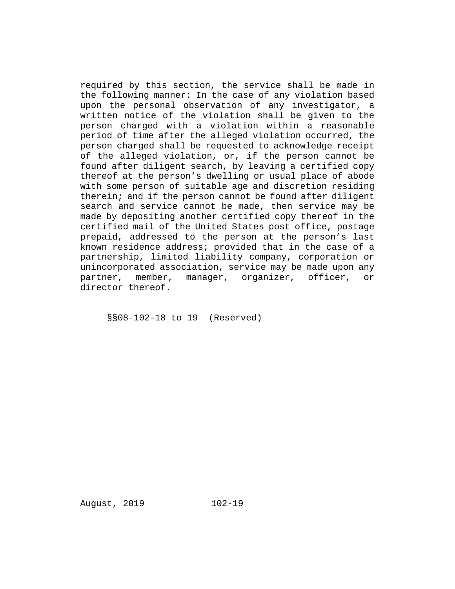required by this section, the service shall be made in the following manner: In the case of any violation based upon the personal observation of any investigator, a written notice of the violation shall be given to the person charged with a violation within a reasonable period of time after the alleged violation occurred, the person charged shall be requested to acknowledge receipt of the alleged violation, or, if the person cannot be found after diligent search, by leaving a certified copy thereof at the person's dwelling or usual place of abode with some person of suitable age and discretion residing therein; and if the person cannot be found after diligent search and service cannot be made, then service may be made by depositing another certified copy thereof in the certified mail of the United States post office, postage prepaid, addressed to the person at the person's last known residence address; provided that in the case of a partnership, limited liability company, corporation or unincorporated association, service may be made upon any<br>partner, member, manager, organizer, officer, or partner, member, manager, organizer, officer, director thereof.

§§08-102-18 to 19 (Reserved)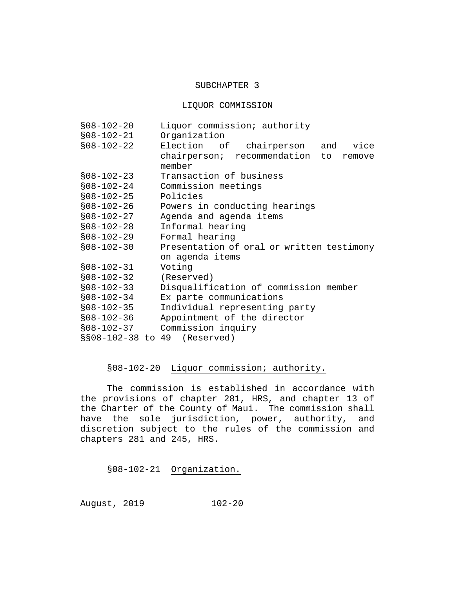### SUBCHAPTER 3

LIQUOR COMMISSION

| $$08-102-20$     | Liquor commission; authority                       |
|------------------|----------------------------------------------------|
| $$08-102-21$     | Organization                                       |
| $$08-102-22$     | Election of chairperson and<br>vice                |
|                  | chairperson; recommendation to<br>remove<br>member |
| $$08-102-23$     | Transaction of business                            |
| $$08-102-24$     | Commission meetings                                |
| $$08-102-25$     | Policies                                           |
| $$08-102-26$     | Powers in conducting hearings                      |
| $$08-102-27$     | Agenda and agenda items                            |
| $$08-102-28$     | Informal hearing                                   |
| $$08-102-29$     | Formal hearing                                     |
| $$08-102-30$     | Presentation of oral or written testimony          |
|                  | on agenda items                                    |
| $$08-102-31$     | Voting                                             |
| $$08-102-32$     | (Reserved)                                         |
| $$08-102-33$     | Disqualification of commission member              |
| $$08 - 102 - 34$ | Ex parte communications                            |
| $$08-102-35$     | Individual representing party                      |
| $$08-102-36$     | Appointment of the director                        |
| $$08-102-37$     | Commission inquiry                                 |
|                  | §§08-102-38 to 49 (Reserved)                       |

# §08-102-20 Liquor commission; authority.

The commission is established in accordance with the provisions of chapter 281, HRS, and chapter 13 of the Charter of the County of Maui. The commission shall have the sole jurisdiction, power, authority, and discretion subject to the rules of the commission and chapters 281 and 245, HRS.

§08-102-21 Organization.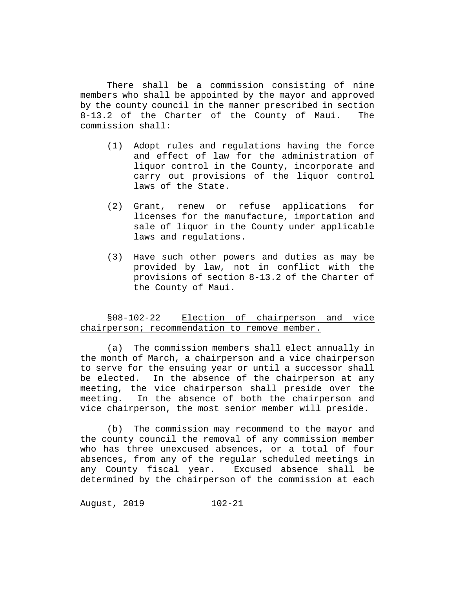There shall be a commission consisting of nine members who shall be appointed by the mayor and approved by the county council in the manner prescribed in section<br>8-13.2 of the Charter of the County of Maui. The  $8-13.2$  of the Charter of the County of Maui. commission shall:

- (1) Adopt rules and regulations having the force and effect of law for the administration of liquor control in the County, incorporate and carry out provisions of the liquor control laws of the State.
- (2) Grant, renew or refuse applications for licenses for the manufacture, importation and sale of liquor in the County under applicable laws and regulations.
- (3) Have such other powers and duties as may be provided by law, not in conflict with the provisions of section 8-13.2 of the Charter of the County of Maui.

§08-102-22 Election of chairperson and vice chairperson; recommendation to remove member.

(a) The commission members shall elect annually in the month of March, a chairperson and a vice chairperson to serve for the ensuing year or until a successor shall be elected. In the absence of the chairperson at any meeting, the vice chairperson shall preside over the meeting. In the absence of both the chairperson and In the absence of both the chairperson and vice chairperson, the most senior member will preside.

(b) The commission may recommend to the mayor and the county council the removal of any commission member who has three unexcused absences, or a total of four absences, from any of the regular scheduled meetings in any County fiscal year. Excused absence shall be determined by the chairperson of the commission at each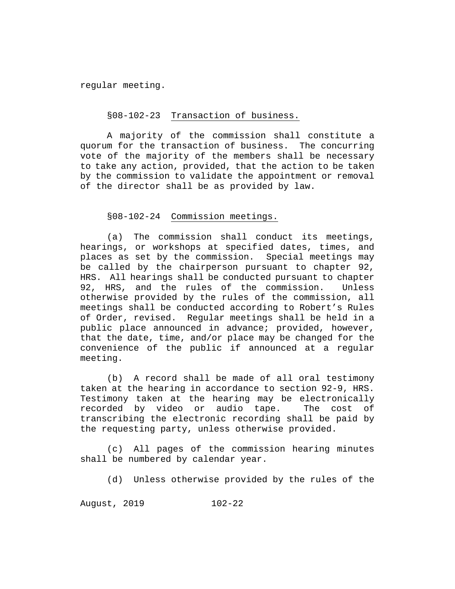regular meeting.

### §08-102-23 Transaction of business.

A majority of the commission shall constitute a quorum for the transaction of business. The concurring vote of the majority of the members shall be necessary to take any action, provided, that the action to be taken by the commission to validate the appointment or removal of the director shall be as provided by law.

# §08-102-24 Commission meetings.

(a) The commission shall conduct its meetings, hearings, or workshops at specified dates, times, and places as set by the commission. Special meetings may be called by the chairperson pursuant to chapter 92, HRS. All hearings shall be conducted pursuant to chapter<br>92. HRS. and the rules of the commission. Unless 92, HRS, and the rules of the commission. otherwise provided by the rules of the commission, all meetings shall be conducted according to Robert's Rules of Order, revised. Regular meetings shall be held in a public place announced in advance; provided, however, that the date, time, and/or place may be changed for the convenience of the public if announced at a regular meeting.

(b) A record shall be made of all oral testimony taken at the hearing in accordance to section 92-9, HRS. Testimony taken at the hearing may be electronically<br>recorded by video or audio tape. The cost of recorded by video or audio tape. transcribing the electronic recording shall be paid by the requesting party, unless otherwise provided.

(c) All pages of the commission hearing minutes shall be numbered by calendar year.

(d) Unless otherwise provided by the rules of the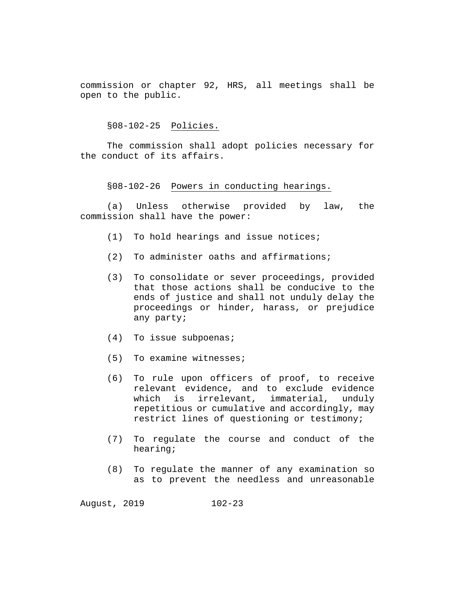commission or chapter 92, HRS, all meetings shall be open to the public.

§08-102-25 Policies.

The commission shall adopt policies necessary for the conduct of its affairs.

#### §08-102-26 Powers in conducting hearings.

(a) Unless otherwise provided by law, the commission shall have the power:

- (1) To hold hearings and issue notices;
- (2) To administer oaths and affirmations;
- (3) To consolidate or sever proceedings, provided that those actions shall be conducive to the ends of justice and shall not unduly delay the proceedings or hinder, harass, or prejudice any party;
- (4) To issue subpoenas;
- (5) To examine witnesses;
- (6) To rule upon officers of proof, to receive relevant evidence, and to exclude evidence which is irrelevant, immaterial, unduly repetitious or cumulative and accordingly, may restrict lines of questioning or testimony;
- (7) To regulate the course and conduct of the hearing;
- (8) To regulate the manner of any examination so as to prevent the needless and unreasonable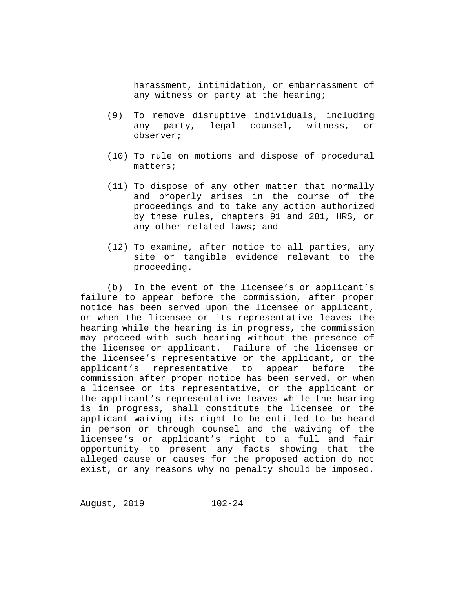harassment, intimidation, or embarrassment of any witness or party at the hearing;

- (9) To remove disruptive individuals, including any party, legal counsel, witness, or observer;
- (10) To rule on motions and dispose of procedural matters;
- (11) To dispose of any other matter that normally and properly arises in the course of the proceedings and to take any action authorized by these rules, chapters 91 and 281, HRS, or any other related laws; and
- (12) To examine, after notice to all parties, any site or tangible evidence relevant to the proceeding.

(b) In the event of the licensee's or applicant's failure to appear before the commission, after proper notice has been served upon the licensee or applicant, or when the licensee or its representative leaves the hearing while the hearing is in progress, the commission may proceed with such hearing without the presence of the licensee or applicant. Failure of the licensee or the licensee's representative or the applicant, or the<br>applicant's representative to appear before the applicant's representative to commission after proper notice has been served, or when a licensee or its representative, or the applicant or the applicant's representative leaves while the hearing is in progress, shall constitute the licensee or the applicant waiving its right to be entitled to be heard in person or through counsel and the waiving of the licensee's or applicant's right to a full and fair opportunity to present any facts showing that the alleged cause or causes for the proposed action do not exist, or any reasons why no penalty should be imposed.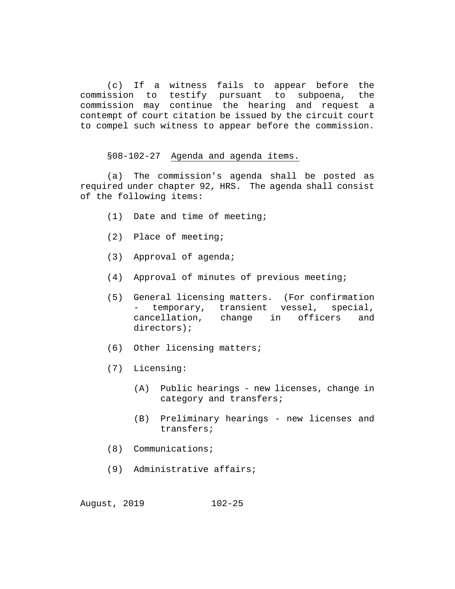(c) If a witness fails to appear before the commission to testify pursuant to subpoena, the commission may continue the hearing and request a contempt of court citation be issued by the circuit court to compel such witness to appear before the commission.

§08-102-27 Agenda and agenda items.

(a) The commission's agenda shall be posted as required under chapter 92, HRS. The agenda shall consist of the following items:

- (1) Date and time of meeting;
- (2) Place of meeting;
- (3) Approval of agenda;
- (4) Approval of minutes of previous meeting;
- (5) General licensing matters. (For confirmation - temporary, transient vessel, cancellation, change in officers and directors);
- (6) Other licensing matters;
- (7) Licensing:
	- (A) Public hearings new licenses, change in category and transfers;
	- (B) Preliminary hearings new licenses and transfers;
- (8) Communications;
- (9) Administrative affairs;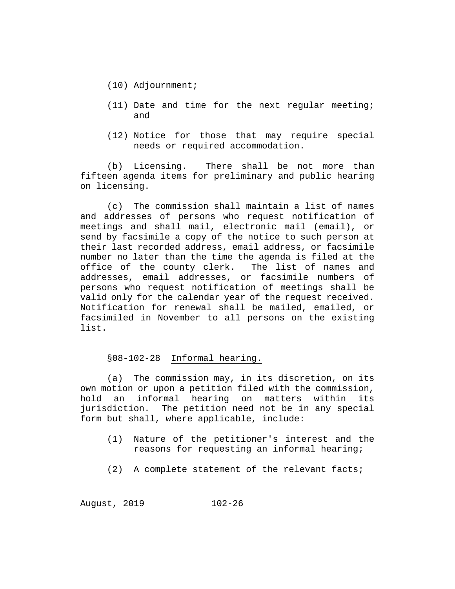- (10) Adjournment;
- (11) Date and time for the next regular meeting; and
- (12) Notice for those that may require special needs or required accommodation.

(b) Licensing. There shall be not more than fifteen agenda items for preliminary and public hearing on licensing.

(c) The commission shall maintain a list of names and addresses of persons who request notification of meetings and shall mail, electronic mail (email), or send by facsimile a copy of the notice to such person at their last recorded address, email address, or facsimile number no later than the time the agenda is filed at the office of the county clerk. The list of names and office of the county clerk. addresses, email addresses, or facsimile numbers of persons who request notification of meetings shall be valid only for the calendar year of the request received. Notification for renewal shall be mailed, emailed, or facsimiled in November to all persons on the existing list.

### §08-102-28 Informal hearing.

(a) The commission may, in its discretion, on its own motion or upon a petition filed with the commission, hold an informal hearing on matters within its jurisdiction. The petition need not be in any special form but shall, where applicable, include:

- (1) Nature of the petitioner's interest and the reasons for requesting an informal hearing;
- (2) A complete statement of the relevant facts;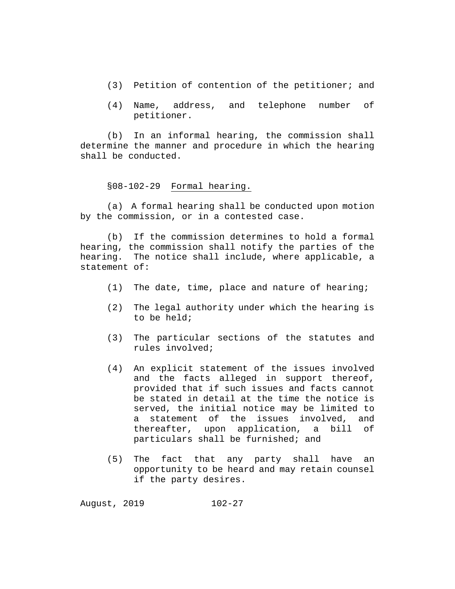- (3) Petition of contention of the petitioner; and
- (4) Name, address, and telephone number of petitioner.

(b) In an informal hearing, the commission shall determine the manner and procedure in which the hearing shall be conducted.

### §08-102-29 Formal hearing.

(a) A formal hearing shall be conducted upon motion by the commission, or in a contested case.

(b) If the commission determines to hold a formal hearing, the commission shall notify the parties of the hearing. The notice shall include, where applicable, a statement of:

- (1) The date, time, place and nature of hearing;
- (2) The legal authority under which the hearing is to be held;
- (3) The particular sections of the statutes and rules involved;
- (4) An explicit statement of the issues involved and the facts alleged in support thereof, provided that if such issues and facts cannot be stated in detail at the time the notice is served, the initial notice may be limited to a statement of the issues involved, and<br>thereafter, upon application, a bill of thereafter, upon application, a bill particulars shall be furnished; and
- (5) The fact that any party shall have an opportunity to be heard and may retain counsel if the party desires.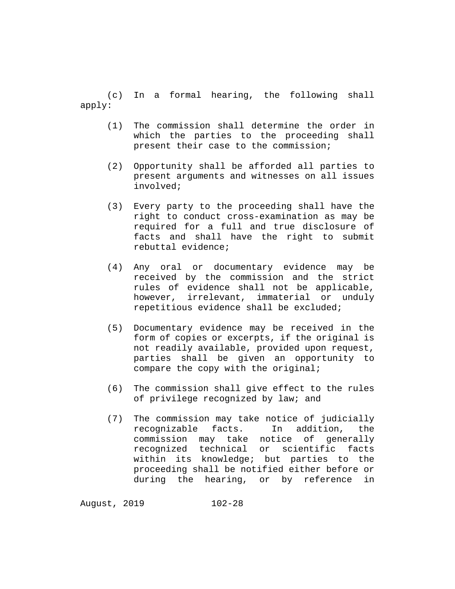(c) In a formal hearing, the following shall apply:

- (1) The commission shall determine the order in which the parties to the proceeding shall present their case to the commission;
- (2) Opportunity shall be afforded all parties to present arguments and witnesses on all issues involved;
- (3) Every party to the proceeding shall have the right to conduct cross-examination as may be required for a full and true disclosure of facts and shall have the right to submit rebuttal evidence;
- (4) Any oral or documentary evidence may be received by the commission and the strict rules of evidence shall not be applicable, however, irrelevant, immaterial or unduly repetitious evidence shall be excluded;
- (5) Documentary evidence may be received in the form of copies or excerpts, if the original is not readily available, provided upon request, parties shall be given an opportunity to compare the copy with the original;
- (6) The commission shall give effect to the rules of privilege recognized by law; and
- (7) The commission may take notice of judicially recognizable facts. In addition, the commission may take notice of generally recognized technical or scientific facts within its knowledge; but parties to the proceeding shall be notified either before or during the hearing, or by reference in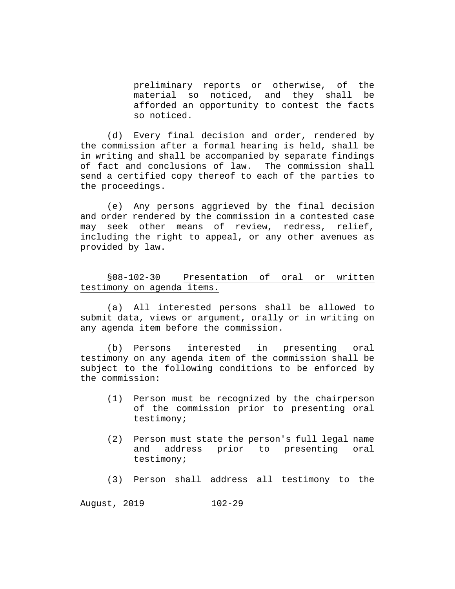preliminary reports or otherwise, of the material so noticed, and they shall be afforded an opportunity to contest the facts so noticed.

(d) Every final decision and order, rendered by the commission after a formal hearing is held, shall be in writing and shall be accompanied by separate findings of fact and conclusions of law. The commission shall send a certified copy thereof to each of the parties to the proceedings.

(e) Any persons aggrieved by the final decision and order rendered by the commission in a contested case may seek other means of review, redress, relief, including the right to appeal, or any other avenues as provided by law.

§08-102-30 Presentation of oral or written testimony on agenda items.

(a) All interested persons shall be allowed to submit data, views or argument, orally or in writing on any agenda item before the commission.

(b) Persons interested in presenting oral testimony on any agenda item of the commission shall be subject to the following conditions to be enforced by the commission:

- (1) Person must be recognized by the chairperson of the commission prior to presenting oral testimony;
- (2) Person must state the person's full legal name<br>and address prior to presenting oral presenting testimony;
- (3) Person shall address all testimony to the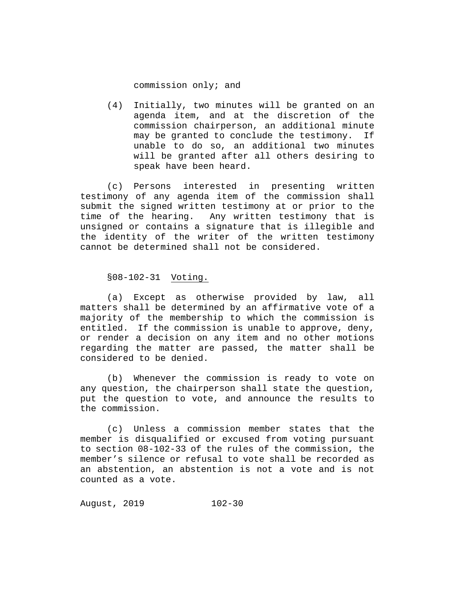commission only; and

(4) Initially, two minutes will be granted on an agenda item, and at the discretion of the commission chairperson, an additional minute may be granted to conclude the testimony. If unable to do so, an additional two minutes will be granted after all others desiring to speak have been heard.

(c) Persons interested in presenting written testimony of any agenda item of the commission shall submit the signed written testimony at or prior to the time of the hearing. Any written testimony that is unsigned or contains a signature that is illegible and the identity of the writer of the written testimony cannot be determined shall not be considered.

§08-102-31 Voting.

(a) Except as otherwise provided by law, all matters shall be determined by an affirmative vote of a majority of the membership to which the commission is entitled. If the commission is unable to approve, deny, or render a decision on any item and no other motions regarding the matter are passed, the matter shall be considered to be denied.

(b) Whenever the commission is ready to vote on any question, the chairperson shall state the question, put the question to vote, and announce the results to the commission.

(c) Unless a commission member states that the member is disqualified or excused from voting pursuant to section 08-102-33 of the rules of the commission, the member's silence or refusal to vote shall be recorded as an abstention, an abstention is not a vote and is not counted as a vote.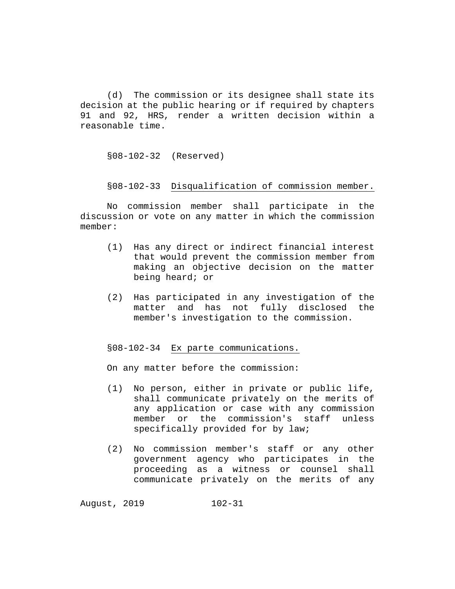(d) The commission or its designee shall state its decision at the public hearing or if required by chapters 91 and 92, HRS, render a written decision within a reasonable time.

§08-102-32 (Reserved)

§08-102-33 Disqualification of commission member.

No commission member shall participate in the discussion or vote on any matter in which the commission member:

- (1) Has any direct or indirect financial interest that would prevent the commission member from making an objective decision on the matter being heard; or
- (2) Has participated in any investigation of the matter and has not fully disclosed the member's investigation to the commission.

§08-102-34 Ex parte communications.

On any matter before the commission:

- (1) No person, either in private or public life, shall communicate privately on the merits of any application or case with any commission<br>member or the commission's staff unless member or the commission's staff specifically provided for by law;
- (2) No commission member's staff or any other government agency who participates in the proceeding as a witness or counsel shall communicate privately on the merits of any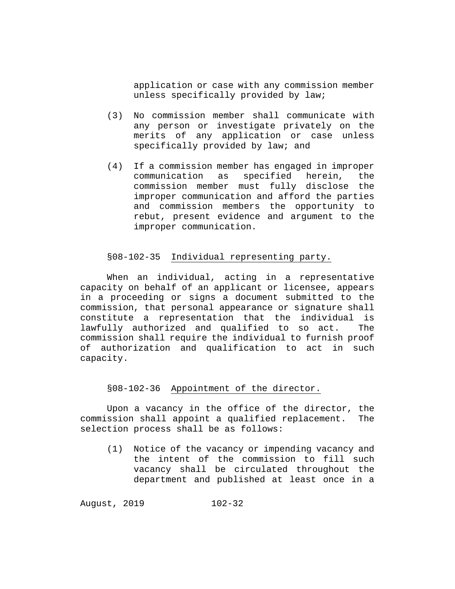application or case with any commission member unless specifically provided by law;

- (3) No commission member shall communicate with any person or investigate privately on the merits of any application or case unless specifically provided by law; and
- (4) If a commission member has engaged in improper specified herein, commission member must fully disclose the improper communication and afford the parties and commission members the opportunity to rebut, present evidence and argument to the improper communication.

# §08-102-35 Individual representing party.

When an individual, acting in a representative capacity on behalf of an applicant or licensee, appears in a proceeding or signs a document submitted to the commission, that personal appearance or signature shall constitute a representation that the individual is lawfully authorized and qualified to so act. The commission shall require the individual to furnish proof of authorization and qualification to act in such capacity.

# §08-102-36 Appointment of the director.

Upon a vacancy in the office of the director, the commission shall appoint a qualified replacement. The selection process shall be as follows:

(1) Notice of the vacancy or impending vacancy and the intent of the commission to fill such vacancy shall be circulated throughout the department and published at least once in a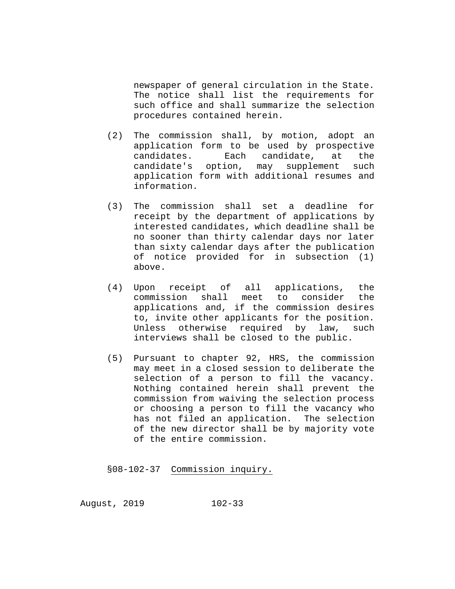newspaper of general circulation in the State. The notice shall list the requirements for such office and shall summarize the selection procedures contained herein.

- (2) The commission shall, by motion, adopt an application form to be used by prospective candidates. Each candidate, at the candidate's option, may supplement such application form with additional resumes and information.
- (3) The commission shall set a deadline for receipt by the department of applications by interested candidates, which deadline shall be no sooner than thirty calendar days nor later than sixty calendar days after the publication of notice provided for in subsection (1) above.
- (4) Upon receipt of all applications, the commission shall meet to consider the applications and, if the commission desires to, invite other applicants for the position. Unless otherwise required by law, such interviews shall be closed to the public.
- (5) Pursuant to chapter 92, HRS, the commission may meet in a closed session to deliberate the selection of a person to fill the vacancy. Nothing contained herein shall prevent the commission from waiving the selection process or choosing a person to fill the vacancy who has not filed an application. The selection of the new director shall be by majority vote of the entire commission.

§08-102-37 Commission inquiry.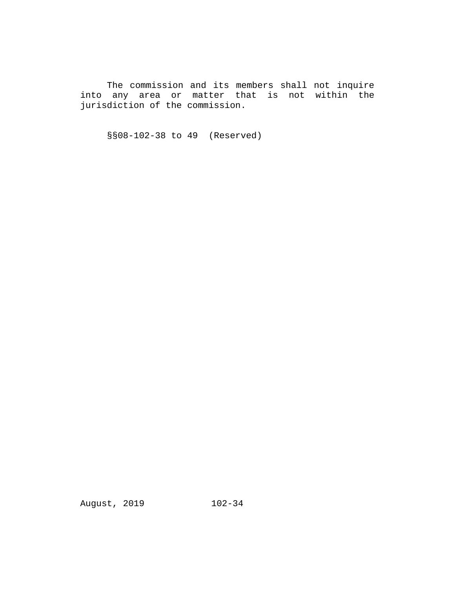The commission and its members shall not inquire into any area or matter that is not within the jurisdiction of the commission.

§§08-102-38 to 49 (Reserved)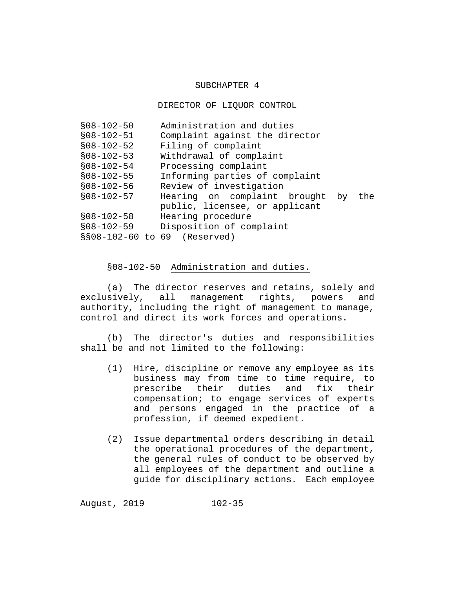### SUBCHAPTER 4

#### DIRECTOR OF LIQUOR CONTROL

| $$08-102-50$                 | Administration and duties              |
|------------------------------|----------------------------------------|
| $$08-102-51$                 | Complaint against the director         |
| $$08-102-52$                 | Filing of complaint                    |
| $$08-102-53$                 | Withdrawal of complaint                |
| $$08-102-54$                 | Processing complaint                   |
| $$08-102-55$                 | Informing parties of complaint         |
| $$08-102-56$                 | Review of investigation                |
| $$08-102-57$                 | Hearing on complaint brought by<br>the |
|                              | public, licensee, or applicant         |
| $$08-102-58$                 | Hearing procedure                      |
| $$08-102-59$                 | Disposition of complaint               |
| §§08-102-60 to 69 (Reserved) |                                        |

# §08-102-50 Administration and duties.

(a) The director reserves and retains, solely and exclusively, all management rights, powers and authority, including the right of management to manage, control and direct its work forces and operations.

(b) The director's duties and responsibilities shall be and not limited to the following:

- (1) Hire, discipline or remove any employee as its business may from time to time require, to prescribe their duties and fix their compensation; to engage services of experts and persons engaged in the practice of a profession, if deemed expedient.
- (2) Issue departmental orders describing in detail the operational procedures of the department, the general rules of conduct to be observed by all employees of the department and outline a guide for disciplinary actions. Each employee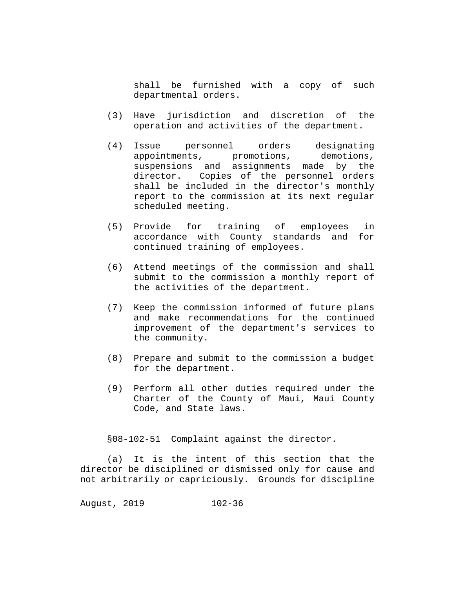shall be furnished with a copy of such departmental orders.

- (3) Have jurisdiction and discretion of the operation and activities of the department.
- (4) Issue personnel orders designating appointments, promotions, demotions, suspensions and assignments made by the director. Copies of the personnel orders shall be included in the director's monthly report to the commission at its next regular scheduled meeting.
- (5) Provide for training of employees in accordance with County standards and for continued training of employees.
- (6) Attend meetings of the commission and shall submit to the commission a monthly report of the activities of the department.
- (7) Keep the commission informed of future plans and make recommendations for the continued improvement of the department's services to the community.
- (8) Prepare and submit to the commission a budget for the department.
- (9) Perform all other duties required under the Charter of the County of Maui, Maui County Code, and State laws.

### §08-102-51 Complaint against the director.

(a) It is the intent of this section that the director be disciplined or dismissed only for cause and not arbitrarily or capriciously. Grounds for discipline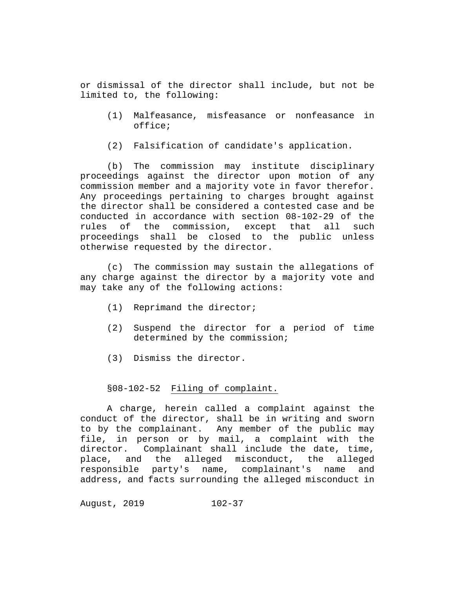or dismissal of the director shall include, but not be limited to, the following:

- (1) Malfeasance, misfeasance or nonfeasance in office;
- (2) Falsification of candidate's application.

(b) The commission may institute disciplinary proceedings against the director upon motion of any commission member and a majority vote in favor therefor. Any proceedings pertaining to charges brought against the director shall be considered a contested case and be conducted in accordance with section 08-102-29 of the rules of the commission, except that all such proceedings shall be closed to the public unless otherwise requested by the director.

(c) The commission may sustain the allegations of any charge against the director by a majority vote and may take any of the following actions:

- (1) Reprimand the director;
- (2) Suspend the director for a period of time determined by the commission;
- (3) Dismiss the director.

# §08-102-52 Filing of complaint.

A charge, herein called a complaint against the conduct of the director, shall be in writing and sworn to by the complainant. Any member of the public may file, in person or by mail, a complaint with the director. Complainant shall include the date, time, place, and the alleged misconduct, the alleged responsible party's name, complainant's name and address, and facts surrounding the alleged misconduct in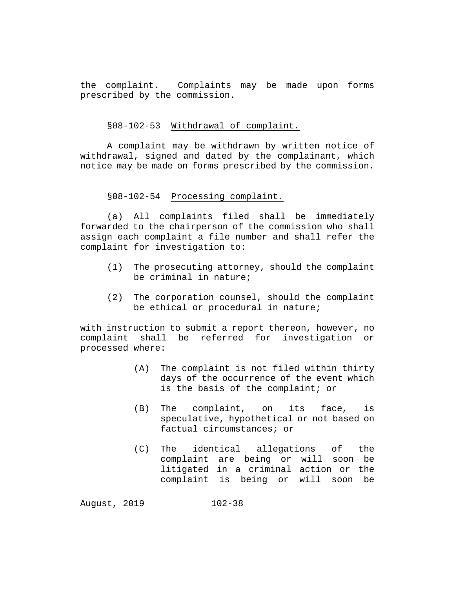the complaint. Complaints may be made upon forms prescribed by the commission.

#### §08-102-53 Withdrawal of complaint.

A complaint may be withdrawn by written notice of withdrawal, signed and dated by the complainant, which notice may be made on forms prescribed by the commission.

#### §08-102-54 Processing complaint.

(a) All complaints filed shall be immediately forwarded to the chairperson of the commission who shall assign each complaint a file number and shall refer the complaint for investigation to:

- (1) The prosecuting attorney, should the complaint be criminal in nature;
- (2) The corporation counsel, should the complaint be ethical or procedural in nature;

with instruction to submit a report thereon, however, no<br>complaint shall be referred for investigation or shall be referred for investigation processed where:

- (A) The complaint is not filed within thirty days of the occurrence of the event which is the basis of the complaint; or
- (B) The complaint, on its face, is speculative, hypothetical or not based on factual circumstances; or
- (C) The identical allegations of the complaint are being or will soon be litigated in a criminal action or the complaint is being or will soon be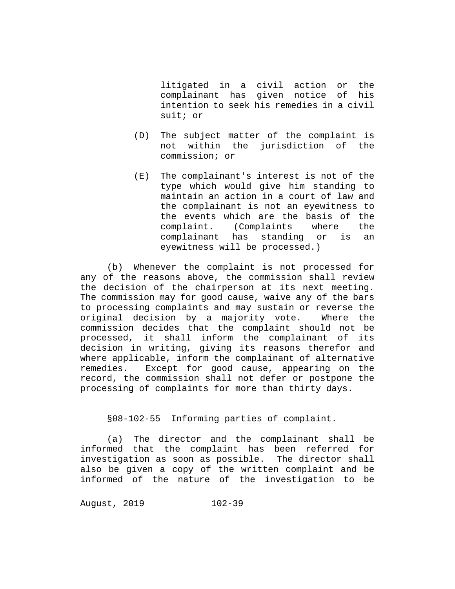litigated in a civil action or the complainant has given notice of his intention to seek his remedies in a civil suit; or

- (D) The subject matter of the complaint is not within the jurisdiction of the commission; or
- (E) The complainant's interest is not of the type which would give him standing to maintain an action in a court of law and the complainant is not an eyewitness to the events which are the basis of the<br>complaint. (Complaints where the complaint. (Complaints where complainant has standing or is an eyewitness will be processed.)

(b) Whenever the complaint is not processed for any of the reasons above, the commission shall review the decision of the chairperson at its next meeting. The commission may for good cause, waive any of the bars to processing complaints and may sustain or reverse the original decision by a majority vote. Where the commission decides that the complaint should not be processed, it shall inform the complainant of its decision in writing, giving its reasons therefor and where applicable, inform the complainant of alternative<br>remedies. Except for good cause, appearing on the Except for good cause, appearing on the record, the commission shall not defer or postpone the processing of complaints for more than thirty days.

# §08-102-55 Informing parties of complaint.

(a) The director and the complainant shall be informed that the complaint has been referred for investigation as soon as possible. The director shall also be given a copy of the written complaint and be informed of the nature of the investigation to be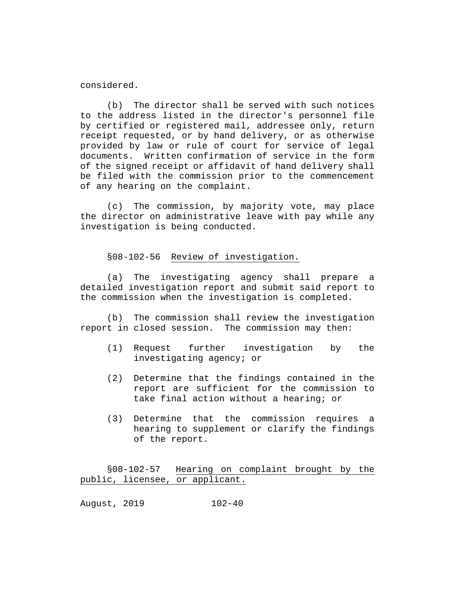considered.

(b) The director shall be served with such notices to the address listed in the director's personnel file by certified or registered mail, addressee only, return receipt requested, or by hand delivery, or as otherwise provided by law or rule of court for service of legal documents. Written confirmation of service in the form of the signed receipt or affidavit of hand delivery shall be filed with the commission prior to the commencement of any hearing on the complaint.

(c) The commission, by majority vote, may place the director on administrative leave with pay while any investigation is being conducted.

# §08-102-56 Review of investigation.

(a) The investigating agency shall prepare a detailed investigation report and submit said report to the commission when the investigation is completed.

(b) The commission shall review the investigation report in closed session. The commission may then:

- (1) Request further investigation by the investigating agency; or
- (2) Determine that the findings contained in the report are sufficient for the commission to take final action without a hearing; or
- (3) Determine that the commission requires a hearing to supplement or clarify the findings of the report.

§08-102-57 Hearing on complaint brought by the public, licensee, or applicant.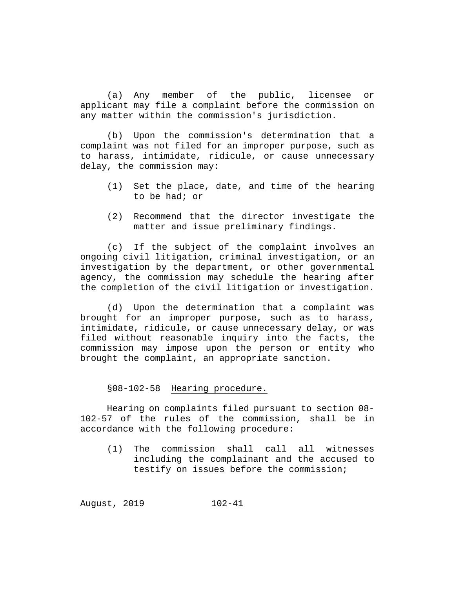(a) Any member of the public, licensee or applicant may file a complaint before the commission on any matter within the commission's jurisdiction.

(b) Upon the commission's determination that a complaint was not filed for an improper purpose, such as to harass, intimidate, ridicule, or cause unnecessary delay, the commission may:

- (1) Set the place, date, and time of the hearing to be had; or
- (2) Recommend that the director investigate the matter and issue preliminary findings.

(c) If the subject of the complaint involves an ongoing civil litigation, criminal investigation, or an investigation by the department, or other governmental agency, the commission may schedule the hearing after the completion of the civil litigation or investigation.

(d) Upon the determination that a complaint was brought for an improper purpose, such as to harass, intimidate, ridicule, or cause unnecessary delay, or was filed without reasonable inquiry into the facts, the commission may impose upon the person or entity who brought the complaint, an appropriate sanction.

§08-102-58 Hearing procedure.

Hearing on complaints filed pursuant to section 08- 102-57 of the rules of the commission, shall be in accordance with the following procedure:

(1) The commission shall call all witnesses including the complainant and the accused to testify on issues before the commission;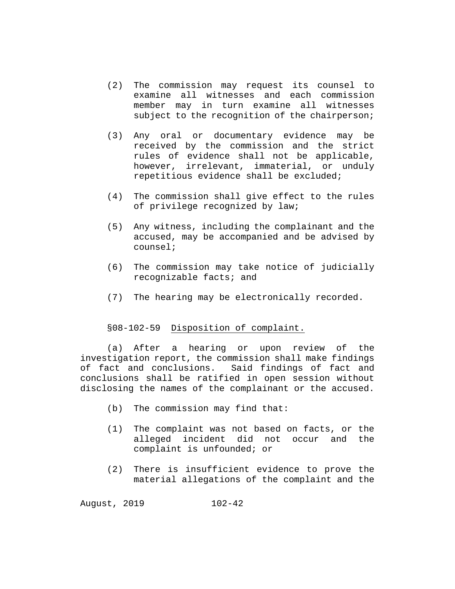- (2) The commission may request its counsel to examine all witnesses and each commission member may in turn examine all witnesses subject to the recognition of the chairperson;
- (3) Any oral or documentary evidence may be received by the commission and the strict rules of evidence shall not be applicable, however, irrelevant, immaterial, or unduly repetitious evidence shall be excluded;
- (4) The commission shall give effect to the rules of privilege recognized by law;
- (5) Any witness, including the complainant and the accused, may be accompanied and be advised by counsel;
- (6) The commission may take notice of judicially recognizable facts; and
- (7) The hearing may be electronically recorded.

# §08-102-59 Disposition of complaint.

(a) After a hearing or upon review of the investigation report, the commission shall make findings of fact and conclusions. Said findings of fact and conclusions shall be ratified in open session without disclosing the names of the complainant or the accused.

- (b) The commission may find that:
- (1) The complaint was not based on facts, or the alleged incident did not occur and the complaint is unfounded; or
- (2) There is insufficient evidence to prove the material allegations of the complaint and the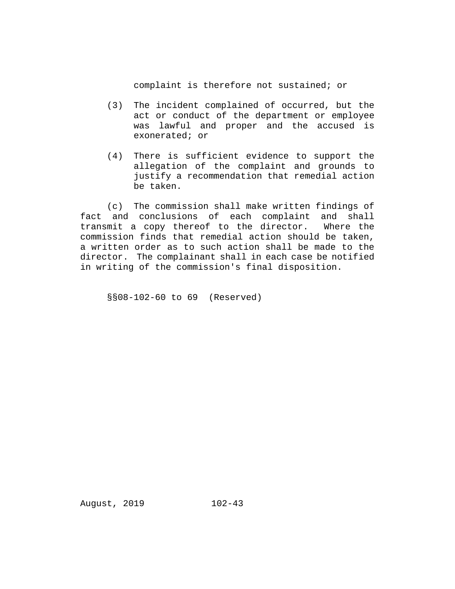complaint is therefore not sustained; or

- (3) The incident complained of occurred, but the act or conduct of the department or employee was lawful and proper and the accused is exonerated; or
- (4) There is sufficient evidence to support the allegation of the complaint and grounds to justify a recommendation that remedial action be taken.

(c) The commission shall make written findings of fact and conclusions of each complaint and shall<br>transmit a copy thereof to the director. Where the transmit a copy thereof to the director. commission finds that remedial action should be taken, a written order as to such action shall be made to the director. The complainant shall in each case be notified in writing of the commission's final disposition.

§§08-102-60 to 69 (Reserved)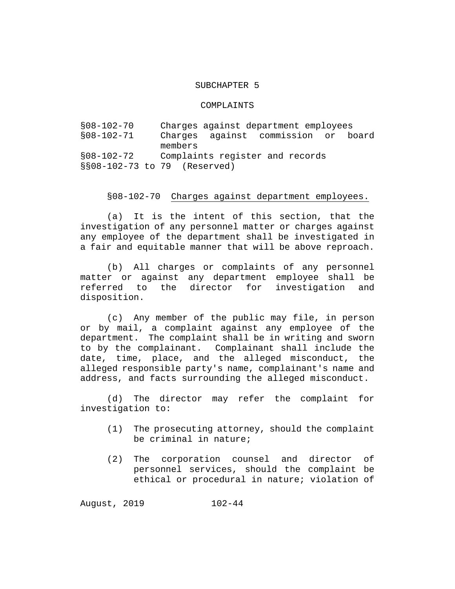### SUBCHAPTER 5

#### COMPLAINTS

§08-102-70 Charges against department employees against commission or members §08-102-72 Complaints register and records §§08-102-73 to 79 (Reserved)

#### §08-102-70 Charges against department employees.

(a) It is the intent of this section, that the investigation of any personnel matter or charges against any employee of the department shall be investigated in a fair and equitable manner that will be above reproach.

(b) All charges or complaints of any personnel matter or against any department employee shall be<br>referred to the director for investigation and the director for investigation disposition.

(c) Any member of the public may file, in person or by mail, a complaint against any employee of the department. The complaint shall be in writing and sworn to by the complainant. Complainant shall include the date, time, place, and the alleged misconduct, the alleged responsible party's name, complainant's name and address, and facts surrounding the alleged misconduct.

(d) The director may refer the complaint for investigation to:

- (1) The prosecuting attorney, should the complaint be criminal in nature;
- (2) The corporation counsel and director of personnel services, should the complaint be ethical or procedural in nature; violation of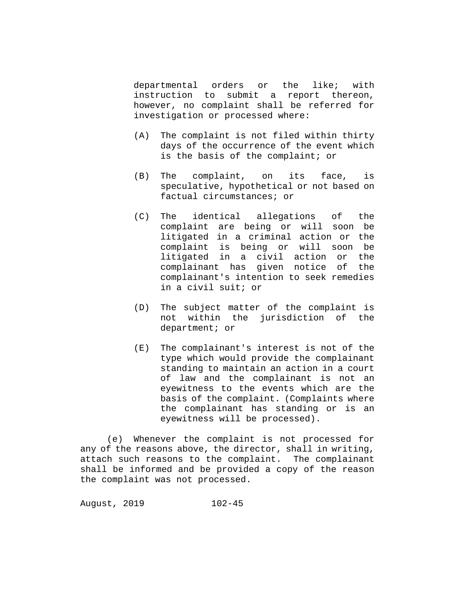departmental orders or the like; with<br>instruction to submit a report thereon, submit a report thereon, however, no complaint shall be referred for investigation or processed where:

- (A) The complaint is not filed within thirty days of the occurrence of the event which is the basis of the complaint; or
- (B) The complaint, on its face, is speculative, hypothetical or not based on factual circumstances; or
- (C) The identical allegations of the complaint are being or will soon be litigated in a criminal action or the complaint is being or will soon be litigated in a civil action or the complainant has given notice of the complainant's intention to seek remedies in a civil suit; or
- (D) The subject matter of the complaint is not within the jurisdiction of the department; or
- (E) The complainant's interest is not of the type which would provide the complainant standing to maintain an action in a court of law and the complainant is not an eyewitness to the events which are the basis of the complaint. (Complaints where the complainant has standing or is an eyewitness will be processed).

(e) Whenever the complaint is not processed for any of the reasons above, the director, shall in writing, attach such reasons to the complaint. The complainant shall be informed and be provided a copy of the reason the complaint was not processed.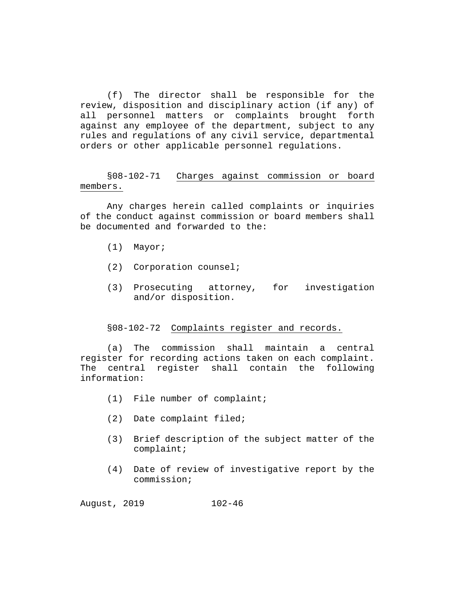(f) The director shall be responsible for the review, disposition and disciplinary action (if any) of all personnel matters or complaints brought forth against any employee of the department, subject to any rules and regulations of any civil service, departmental orders or other applicable personnel regulations.

§08-102-71 Charges against commission or board members.

Any charges herein called complaints or inquiries of the conduct against commission or board members shall be documented and forwarded to the:

- (1) Mayor;
- (2) Corporation counsel;
- (3) Prosecuting attorney, for investigation and/or disposition.

# §08-102-72 Complaints register and records.

(a) The commission shall maintain a central register for recording actions taken on each complaint. The central register shall contain the following information:

- (1) File number of complaint;
- (2) Date complaint filed;
- (3) Brief description of the subject matter of the complaint;
- (4) Date of review of investigative report by the commission;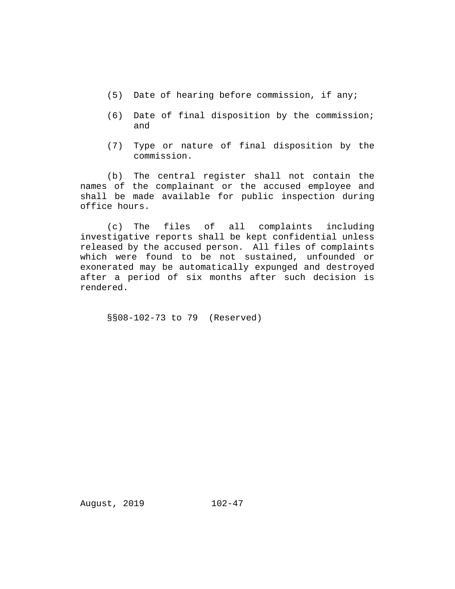- (5) Date of hearing before commission, if any;
- (6) Date of final disposition by the commission; and
- (7) Type or nature of final disposition by the commission.

(b) The central register shall not contain the names of the complainant or the accused employee and shall be made available for public inspection during office hours.

(c) The files of all complaints including investigative reports shall be kept confidential unless released by the accused person. All files of complaints which were found to be not sustained, unfounded or exonerated may be automatically expunged and destroyed after a period of six months after such decision is rendered.

§§08-102-73 to 79 (Reserved)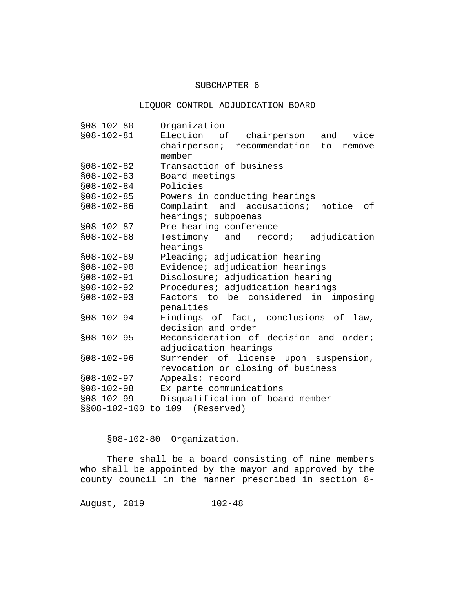### SUBCHAPTER 6

# LIQUOR CONTROL ADJUDICATION BOARD

| $$08 - 102 - 80$ | Organization                                |
|------------------|---------------------------------------------|
| $$08-102-81$     | Election of<br>vice<br>chairperson<br>and   |
|                  | chairperson; recommendation<br>to<br>remove |
|                  | member                                      |
| $$08-102-82$     | Transaction of business                     |
| $$08-102-83$     | Board meetings                              |
| $$08-102-84$     | Policies                                    |
| $$08-102-85$     | Powers in conducting hearings               |
| $$08-102-86$     | Complaint and accusations;<br>notice<br>оf  |
|                  | hearings; subpoenas                         |
| $$08-102-87$     | Pre-hearing conference                      |
| $$08-102-88$     | Testimony and<br>adjudication<br>record;    |
|                  | hearings                                    |
| $$08-102-89$     | Pleading; adjudication hearing              |
| $$08-102-90$     | Evidence; adjudication hearings             |
| $$08-102-91$     | Disclosure; adjudication hearing            |
| $$08-102-92$     | Procedures; adjudication hearings           |
| $$08-102-93$     | Factors to be considered in imposing        |
|                  | penalties                                   |
| $$08-102-94$     | Findings of fact, conclusions of<br>law,    |
|                  | decision and order                          |
| $$08-102-95$     | Reconsideration of decision and order;      |
|                  | adjudication hearings                       |
| $$08-102-96$     | Surrender of license upon suspension,       |
|                  | revocation or closing of business           |
| $$08-102-97$     | Appeals; record                             |
| $$08-102-98$     | Ex parte communications                     |
| $$08-102-99$     | Disqualification of board member            |
| $$808-102-100$   | to 109 (Reserved)                           |

§08-102-80 Organization.

There shall be a board consisting of nine members who shall be appointed by the mayor and approved by the county council in the manner prescribed in section 8-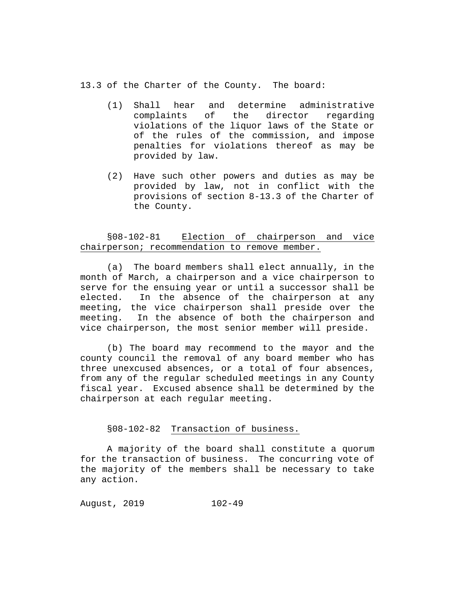13.3 of the Charter of the County. The board:

- (1) Shall hear and determine administrative the director violations of the liquor laws of the State or of the rules of the commission, and impose penalties for violations thereof as may be provided by law.
- (2) Have such other powers and duties as may be provided by law, not in conflict with the provisions of section 8-13.3 of the Charter of the County.

# §08-102-81 Election of chairperson and vice chairperson; recommendation to remove member.

(a) The board members shall elect annually, in the month of March, a chairperson and a vice chairperson to serve for the ensuing year or until a successor shall be elected. In the absence of the chairperson at any meeting, the vice chairperson shall preside over the meeting. In the absence of both the chairperson and vice chairperson, the most senior member will preside.

(b) The board may recommend to the mayor and the county council the removal of any board member who has three unexcused absences, or a total of four absences, from any of the regular scheduled meetings in any County fiscal year. Excused absence shall be determined by the chairperson at each regular meeting.

# §08-102-82 Transaction of business.

A majority of the board shall constitute a quorum for the transaction of business. The concurring vote of the majority of the members shall be necessary to take any action.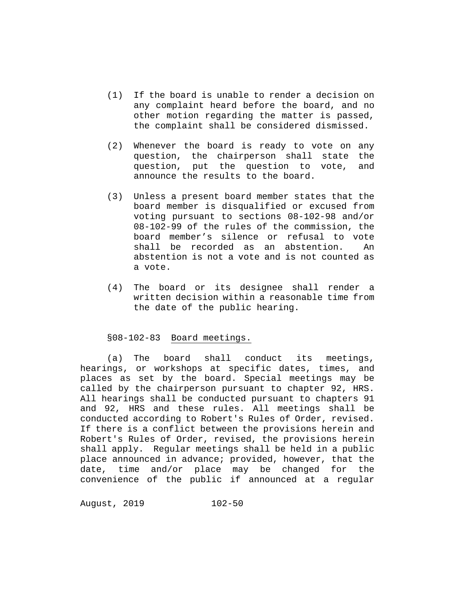- (1) If the board is unable to render a decision on any complaint heard before the board, and no other motion regarding the matter is passed, the complaint shall be considered dismissed.
- (2) Whenever the board is ready to vote on any question, the chairperson shall state the question, put the question to vote, and announce the results to the board.
- (3) Unless a present board member states that the board member is disqualified or excused from voting pursuant to sections 08-102-98 and/or 08-102-99 of the rules of the commission, the board member's silence or refusal to vote shall be recorded as an abstention. An abstention is not a vote and is not counted as a vote.
- (4) The board or its designee shall render a written decision within a reasonable time from the date of the public hearing.

### §08-102-83 Board meetings.

(a) The board shall conduct its meetings, hearings, or workshops at specific dates, times, and places as set by the board. Special meetings may be called by the chairperson pursuant to chapter 92, HRS. All hearings shall be conducted pursuant to chapters 91 and 92, HRS and these rules. All meetings shall be conducted according to Robert's Rules of Order, revised. If there is a conflict between the provisions herein and Robert's Rules of Order, revised, the provisions herein shall apply. Regular meetings shall be held in a public place announced in advance; provided, however, that the date, time and/or place may be changed for the convenience of the public if announced at a regular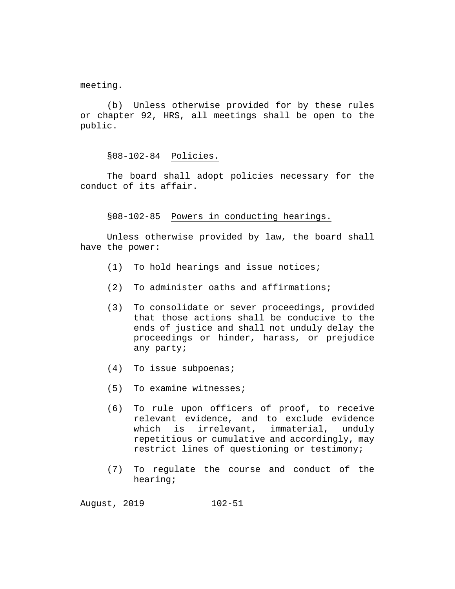meeting.

(b) Unless otherwise provided for by these rules or chapter 92, HRS, all meetings shall be open to the public.

§08-102-84 Policies.

The board shall adopt policies necessary for the conduct of its affair.

§08-102-85 Powers in conducting hearings.

Unless otherwise provided by law, the board shall have the power:

- (1) To hold hearings and issue notices;
- (2) To administer oaths and affirmations;
- (3) To consolidate or sever proceedings, provided that those actions shall be conducive to the ends of justice and shall not unduly delay the proceedings or hinder, harass, or prejudice any party;
- (4) To issue subpoenas;
- (5) To examine witnesses;
- (6) To rule upon officers of proof, to receive relevant evidence, and to exclude evidence<br>which is irrelevant, immaterial, unduly which is irrelevant, immaterial, repetitious or cumulative and accordingly, may restrict lines of questioning or testimony;
- (7) To regulate the course and conduct of the hearing;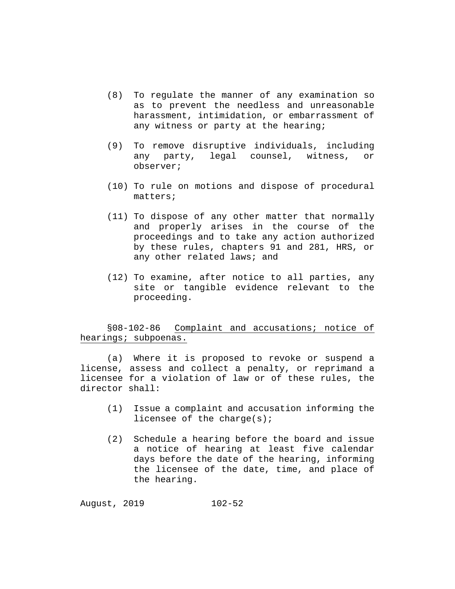- (8) To regulate the manner of any examination so as to prevent the needless and unreasonable harassment, intimidation, or embarrassment of any witness or party at the hearing;
- (9) To remove disruptive individuals, including any party, legal counsel, witness, or observer;
- (10) To rule on motions and dispose of procedural matters;
- (11) To dispose of any other matter that normally and properly arises in the course of the proceedings and to take any action authorized by these rules, chapters 91 and 281, HRS, or any other related laws; and
- (12) To examine, after notice to all parties, any site or tangible evidence relevant to the proceeding.

# §08-102-86 Complaint and accusations; notice of hearings; subpoenas.

(a) Where it is proposed to revoke or suspend a license, assess and collect a penalty, or reprimand a licensee for a violation of law or of these rules, the director shall:

- (1) Issue a complaint and accusation informing the licensee of the charge(s);
- (2) Schedule a hearing before the board and issue a notice of hearing at least five calendar days before the date of the hearing, informing the licensee of the date, time, and place of the hearing.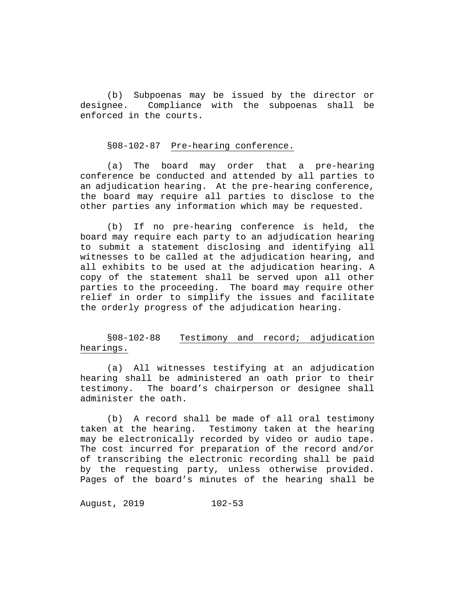(b) Subpoenas may be issued by the director or<br>designee. Compliance with the subpoenas shall be Compliance with the subpoenas shall be enforced in the courts.

### §08-102-87 Pre-hearing conference.

(a) The board may order that a pre-hearing conference be conducted and attended by all parties to an adjudication hearing. At the pre-hearing conference, the board may require all parties to disclose to the other parties any information which may be requested.

(b) If no pre-hearing conference is held, the board may require each party to an adjudication hearing to submit a statement disclosing and identifying all witnesses to be called at the adjudication hearing, and all exhibits to be used at the adjudication hearing. A copy of the statement shall be served upon all other parties to the proceeding. The board may require other relief in order to simplify the issues and facilitate the orderly progress of the adjudication hearing.

§08-102-88 Testimony and record; adjudication hearings.

(a) All witnesses testifying at an adjudication hearing shall be administered an oath prior to their<br>testimony. The board's chairperson or designee shall The board's chairperson or designee shall administer the oath.

(b) A record shall be made of all oral testimony taken at the hearing. Testimony taken at the hearing may be electronically recorded by video or audio tape. The cost incurred for preparation of the record and/or of transcribing the electronic recording shall be paid by the requesting party, unless otherwise provided. Pages of the board's minutes of the hearing shall be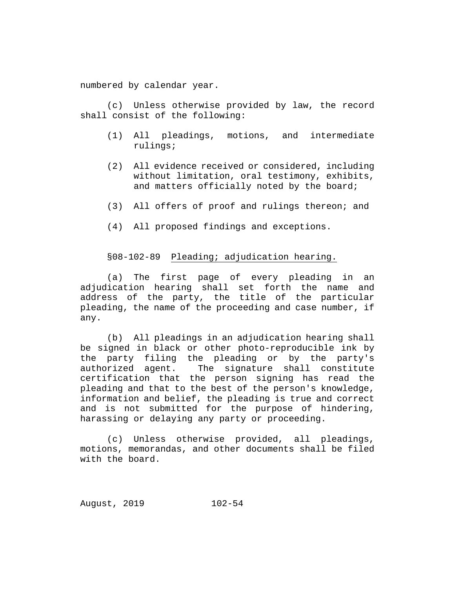numbered by calendar year.

(c) Unless otherwise provided by law, the record shall consist of the following:

- (1) All pleadings, motions, and intermediate rulings;
- (2) All evidence received or considered, including without limitation, oral testimony, exhibits, and matters officially noted by the board;
- (3) All offers of proof and rulings thereon; and
- (4) All proposed findings and exceptions.

# §08-102-89 Pleading; adjudication hearing.

(a) The first page of every pleading in an adjudication hearing shall set forth the name and address of the party, the title of the particular pleading, the name of the proceeding and case number, if any.

(b) All pleadings in an adjudication hearing shall be signed in black or other photo-reproducible ink by the party filing the pleading or by the party's<br>authorized agent. The signature shall constitute The signature shall constitute certification that the person signing has read the pleading and that to the best of the person's knowledge, information and belief, the pleading is true and correct and is not submitted for the purpose of hindering, harassing or delaying any party or proceeding.

(c) Unless otherwise provided, all pleadings, motions, memorandas, and other documents shall be filed with the board.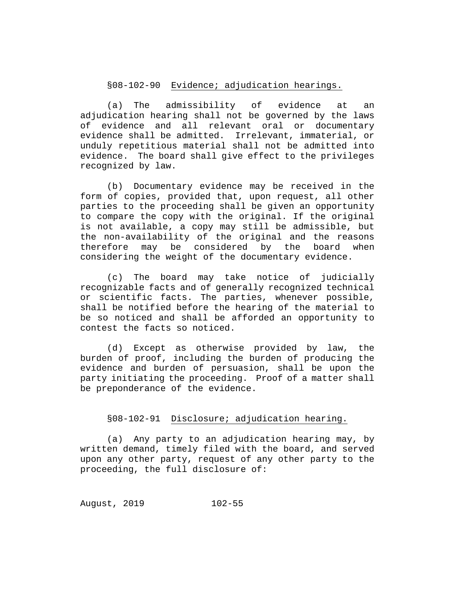# §08-102-90 Evidence; adjudication hearings.

(a) The admissibility of evidence at an adjudication hearing shall not be governed by the laws of evidence and all relevant oral or documentary evidence shall be admitted. Irrelevant, immaterial, or unduly repetitious material shall not be admitted into evidence. The board shall give effect to the privileges recognized by law.

(b) Documentary evidence may be received in the form of copies, provided that, upon request, all other parties to the proceeding shall be given an opportunity to compare the copy with the original. If the original is not available, a copy may still be admissible, but the non-availability of the original and the reasons therefore may be considered by the board when considering the weight of the documentary evidence.

(c) The board may take notice of judicially recognizable facts and of generally recognized technical or scientific facts. The parties, whenever possible, shall be notified before the hearing of the material to be so noticed and shall be afforded an opportunity to contest the facts so noticed.

(d) Except as otherwise provided by law, the burden of proof, including the burden of producing the evidence and burden of persuasion, shall be upon the party initiating the proceeding. Proof of a matter shall be preponderance of the evidence.

# §08-102-91 Disclosure; adjudication hearing.

(a) Any party to an adjudication hearing may, by written demand, timely filed with the board, and served upon any other party, request of any other party to the proceeding, the full disclosure of: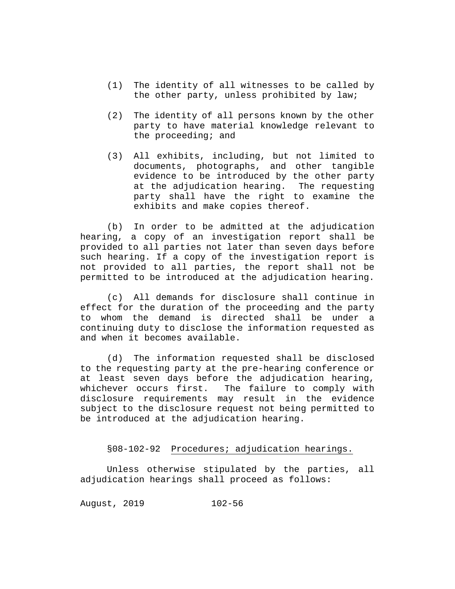- (1) The identity of all witnesses to be called by the other party, unless prohibited by law;
- (2) The identity of all persons known by the other party to have material knowledge relevant to the proceeding; and
- (3) All exhibits, including, but not limited to documents, photographs, and other tangible evidence to be introduced by the other party at the adjudication hearing. The requesting party shall have the right to examine the exhibits and make copies thereof.

(b) In order to be admitted at the adjudication hearing, a copy of an investigation report shall be provided to all parties not later than seven days before such hearing. If a copy of the investigation report is not provided to all parties, the report shall not be permitted to be introduced at the adjudication hearing.

(c) All demands for disclosure shall continue in effect for the duration of the proceeding and the party to whom the demand is directed shall be under a continuing duty to disclose the information requested as and when it becomes available.

(d) The information requested shall be disclosed to the requesting party at the pre-hearing conference or at least seven days before the adjudication hearing,<br>whichever occurs first. The failure to comply with The failure to comply with disclosure requirements may result in the evidence subject to the disclosure request not being permitted to be introduced at the adjudication hearing.

### §08-102-92 Procedures; adjudication hearings.

Unless otherwise stipulated by the parties, all adjudication hearings shall proceed as follows: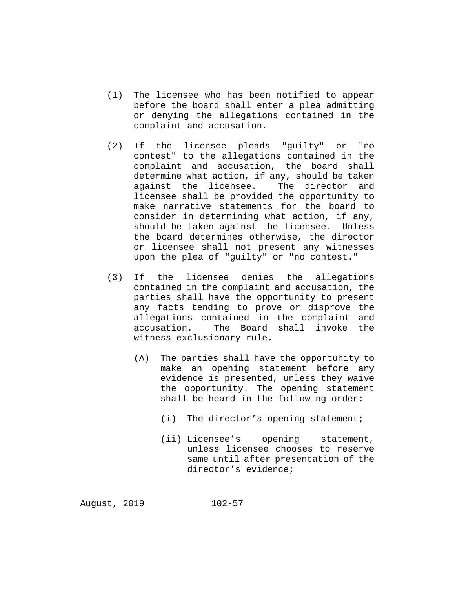- (1) The licensee who has been notified to appear before the board shall enter a plea admitting or denying the allegations contained in the complaint and accusation.
- (2) If the licensee pleads "guilty" or "no contest" to the allegations contained in the complaint and accusation, the board shall determine what action, if any, should be taken against the licensee. The director and licensee shall be provided the opportunity to make narrative statements for the board to consider in determining what action, if any, should be taken against the licensee. Unless the board determines otherwise, the director or licensee shall not present any witnesses upon the plea of "guilty" or "no contest."
- (3) If the licensee denies the allegations contained in the complaint and accusation, the parties shall have the opportunity to present any facts tending to prove or disprove the allegations contained in the complaint and accusation. The Board shall invoke the witness exclusionary rule.
	- (A) The parties shall have the opportunity to make an opening statement before any evidence is presented, unless they waive the opportunity. The opening statement shall be heard in the following order:
		- (i) The director's opening statement;
		- (ii) Licensee's opening statement, unless licensee chooses to reserve same until after presentation of the director's evidence;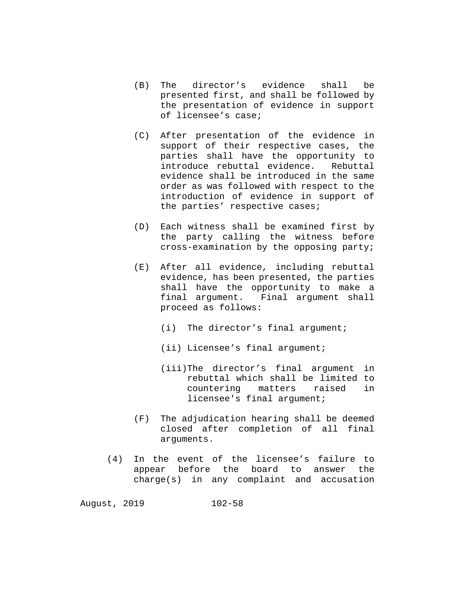- (B) The director's evidence shall be presented first, and shall be followed by the presentation of evidence in support of licensee's case;
- (C) After presentation of the evidence in support of their respective cases, the parties shall have the opportunity to introduce rebuttal evidence. evidence shall be introduced in the same order as was followed with respect to the introduction of evidence in support of the parties' respective cases;
- (D) Each witness shall be examined first by the party calling the witness before cross-examination by the opposing party;
- (E) After all evidence, including rebuttal evidence, has been presented, the parties shall have the opportunity to make a<br>final arqument. Final arqument shall Final argument shall proceed as follows:
	- (i) The director's final argument;
	- (ii) Licensee's final argument;
	- (iii)The director's final argument in rebuttal which shall be limited to<br>countering matters raised in countering licensee's final argument;
- (F) The adjudication hearing shall be deemed closed after completion of all final arguments.
- (4) In the event of the licensee's failure to appear before the board to answer the charge(s) in any complaint and accusation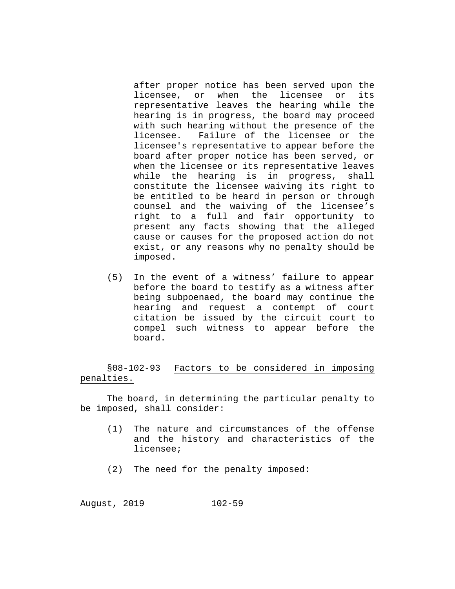after proper notice has been served upon the<br>licensee, or when the licensee or its licensee, or when the representative leaves the hearing while the hearing is in progress, the board may proceed with such hearing without the presence of the<br>licensee. Failure of the licensee or the Failure of the licensee or the licensee's representative to appear before the board after proper notice has been served, or when the licensee or its representative leaves<br>while the hearing is in progress, shall while the hearing is in progress, constitute the licensee waiving its right to be entitled to be heard in person or through counsel and the waiving of the licensee's right to a full and fair opportunity to present any facts showing that the alleged cause or causes for the proposed action do not exist, or any reasons why no penalty should be imposed.

(5) In the event of a witness' failure to appear before the board to testify as a witness after being subpoenaed, the board may continue the hearing and request a contempt of court citation be issued by the circuit court to compel such witness to appear before the board.

§08-102-93 Factors to be considered in imposing penalties.

The board, in determining the particular penalty to be imposed, shall consider:

- (1) The nature and circumstances of the offense and the history and characteristics of the licensee;
- (2) The need for the penalty imposed: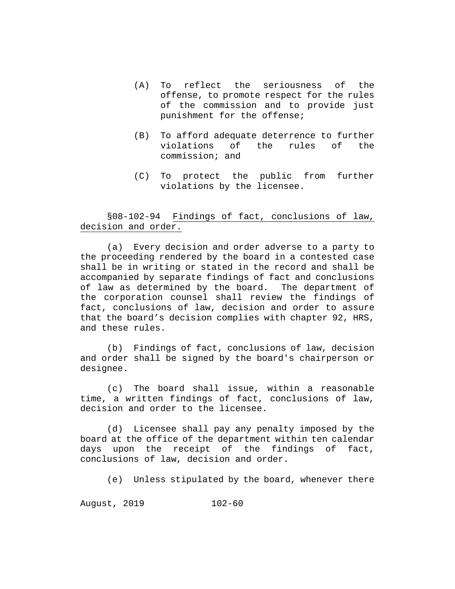- (A) To reflect the seriousness of the offense, to promote respect for the rules of the commission and to provide just punishment for the offense;
- (B) To afford adequate deterrence to further violations of the rules of the commission; and
- (C) To protect the public from further violations by the licensee.

# §08-102-94 Findings of fact, conclusions of law, decision and order.

(a) Every decision and order adverse to a party to the proceeding rendered by the board in a contested case shall be in writing or stated in the record and shall be accompanied by separate findings of fact and conclusions of law as determined by the board. The department of the corporation counsel shall review the findings of fact, conclusions of law, decision and order to assure that the board's decision complies with chapter 92, HRS, and these rules.

(b) Findings of fact, conclusions of law, decision and order shall be signed by the board's chairperson or designee.

(c) The board shall issue, within a reasonable time, a written findings of fact, conclusions of law, decision and order to the licensee.

(d) Licensee shall pay any penalty imposed by the board at the office of the department within ten calendar<br>days upon the receipt of the findings of fact, days upon the receipt of the findings of conclusions of law, decision and order.

(e) Unless stipulated by the board, whenever there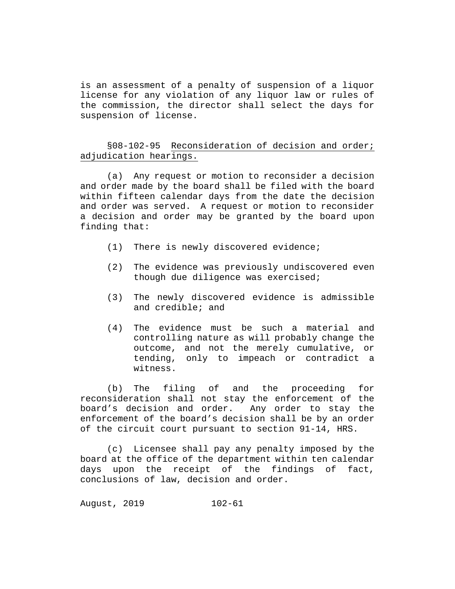is an assessment of a penalty of suspension of a liquor license for any violation of any liquor law or rules of the commission, the director shall select the days for suspension of license.

# §08-102-95 Reconsideration of decision and order; adjudication hearings.

(a) Any request or motion to reconsider a decision and order made by the board shall be filed with the board within fifteen calendar days from the date the decision and order was served. A request or motion to reconsider a decision and order may be granted by the board upon finding that:

- (1) There is newly discovered evidence;
- (2) The evidence was previously undiscovered even though due diligence was exercised;
- (3) The newly discovered evidence is admissible and credible; and
- (4) The evidence must be such a material and controlling nature as will probably change the outcome, and not the merely cumulative, or tending, only to impeach or contradict a witness.

(b) The filing of and the proceeding for reconsideration shall not stay the enforcement of the board's decision and order. Any order to stay the enforcement of the board's decision shall be by an order of the circuit court pursuant to section 91-14, HRS.

(c) Licensee shall pay any penalty imposed by the board at the office of the department within ten calendar days upon the receipt of the findings of fact, conclusions of law, decision and order.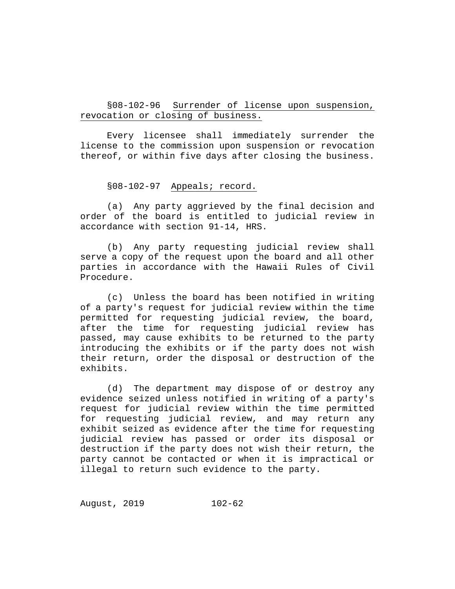§08-102-96 Surrender of license upon suspension, revocation or closing of business.

Every licensee shall immediately surrender the license to the commission upon suspension or revocation thereof, or within five days after closing the business.

### §08-102-97 Appeals; record.

(a) Any party aggrieved by the final decision and order of the board is entitled to judicial review in accordance with section 91-14, HRS.

(b) Any party requesting judicial review shall serve a copy of the request upon the board and all other parties in accordance with the Hawaii Rules of Civil Procedure.

(c) Unless the board has been notified in writing of a party's request for judicial review within the time permitted for requesting judicial review, the board, after the time for requesting judicial review has passed, may cause exhibits to be returned to the party introducing the exhibits or if the party does not wish their return, order the disposal or destruction of the exhibits.

(d) The department may dispose of or destroy any evidence seized unless notified in writing of a party's request for judicial review within the time permitted for requesting judicial review, and may return any exhibit seized as evidence after the time for requesting judicial review has passed or order its disposal or destruction if the party does not wish their return, the party cannot be contacted or when it is impractical or illegal to return such evidence to the party.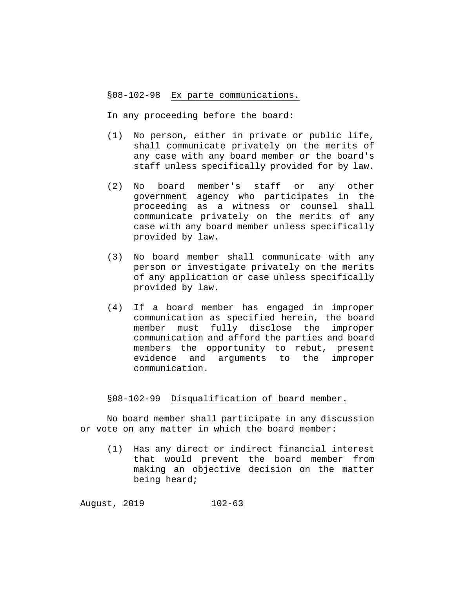§08-102-98 Ex parte communications.

In any proceeding before the board:

- (1) No person, either in private or public life, shall communicate privately on the merits of any case with any board member or the board's staff unless specifically provided for by law.
- (2) No board member's staff or any other government agency who participates in the proceeding as a witness or counsel shall communicate privately on the merits of any case with any board member unless specifically provided by law.
- (3) No board member shall communicate with any person or investigate privately on the merits of any application or case unless specifically provided by law.
- (4) If a board member has engaged in improper communication as specified herein, the board member must fully disclose the improper communication and afford the parties and board members the opportunity to rebut, present evidence and arguments to the improper communication.

### §08-102-99 Disqualification of board member.

No board member shall participate in any discussion or vote on any matter in which the board member:

(1) Has any direct or indirect financial interest that would prevent the board member from making an objective decision on the matter being heard;